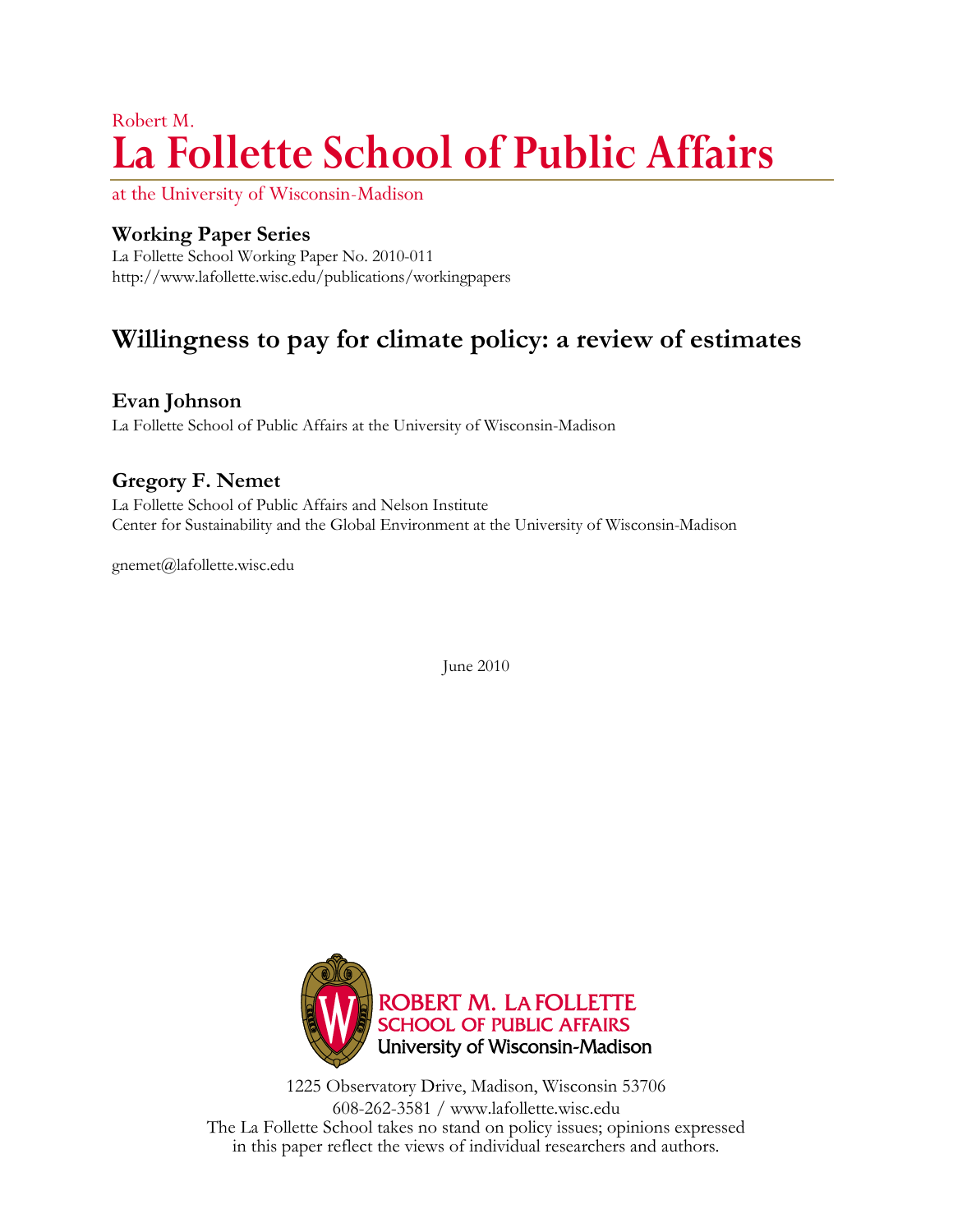# Robert M. **La Follette School of Public Affairs**

at the University of Wisconsin-Madison

## **Working Paper Series**

La Follette School Working Paper No. 2010-011 <http://www.lafollette.wisc.edu/publications/workingpapers>

# **Willingness to pay for climate policy: a review of estimates**

**Evan Johnson**

La Follette School of Public Affairs at the University of Wisconsin-Madison

# **Gregory F. Nemet**

La Follette School of Public Affairs and Nelson Institute Center for Sustainability and the Global Environment at the University of Wisconsin-Madison

[gnemet@lafollette.wisc.edu](mailto:gnemet@lafollette.wisc.edu) 

June 2010



1225 Observatory Drive, Madison, Wisconsin 53706 608-262-3581 / www.lafollette.wisc.edu The La Follette School takes no stand on policy issues; opinions expressed in this paper reflect the views of individual researchers and authors.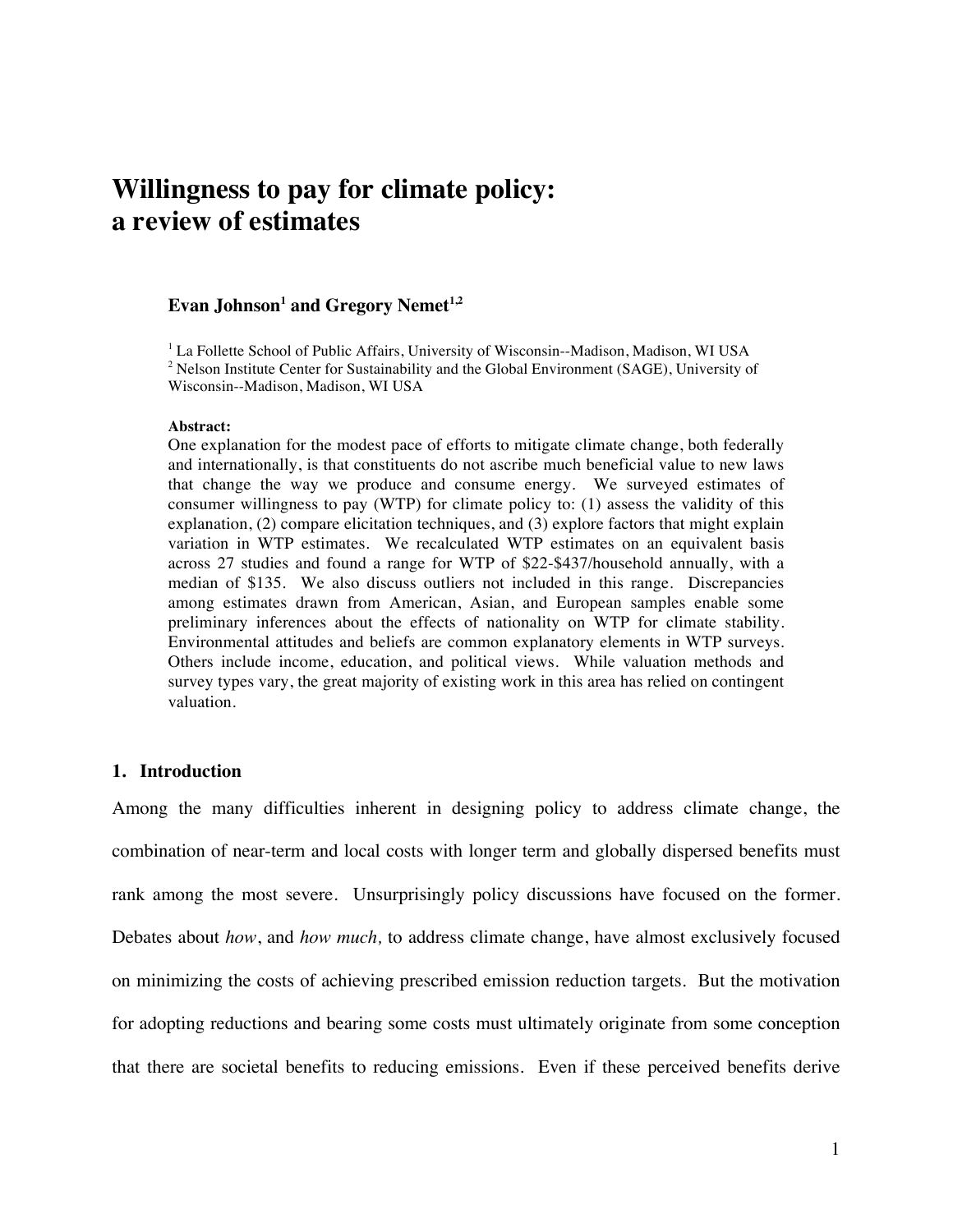# **Willingness to pay for climate policy: a review of estimates**

### $\rm{Even}$  Johnson $^1$  and Gregory  $\rm{Nemet}^{1,2}$

<sup>1</sup> La Follette School of Public Affairs, University of Wisconsin--Madison, Madison, WI USA  $2$  Nelson Institute Center for Sustainability and the Global Environment (SAGE), University of Wisconsin--Madison, Madison, WI USA

#### **Abstract:**

One explanation for the modest pace of efforts to mitigate climate change, both federally and internationally, is that constituents do not ascribe much beneficial value to new laws that change the way we produce and consume energy. We surveyed estimates of consumer willingness to pay (WTP) for climate policy to: (1) assess the validity of this explanation, (2) compare elicitation techniques, and (3) explore factors that might explain variation in WTP estimates. We recalculated WTP estimates on an equivalent basis across 27 studies and found a range for WTP of \$22-\$437/household annually, with a median of \$135. We also discuss outliers not included in this range. Discrepancies among estimates drawn from American, Asian, and European samples enable some preliminary inferences about the effects of nationality on WTP for climate stability. Environmental attitudes and beliefs are common explanatory elements in WTP surveys. Others include income, education, and political views. While valuation methods and survey types vary, the great majority of existing work in this area has relied on contingent valuation.

#### **1. Introduction**

Among the many difficulties inherent in designing policy to address climate change, the combination of near-term and local costs with longer term and globally dispersed benefits must rank among the most severe. Unsurprisingly policy discussions have focused on the former. Debates about *how*, and *how much,* to address climate change, have almost exclusively focused on minimizing the costs of achieving prescribed emission reduction targets. But the motivation for adopting reductions and bearing some costs must ultimately originate from some conception that there are societal benefits to reducing emissions. Even if these perceived benefits derive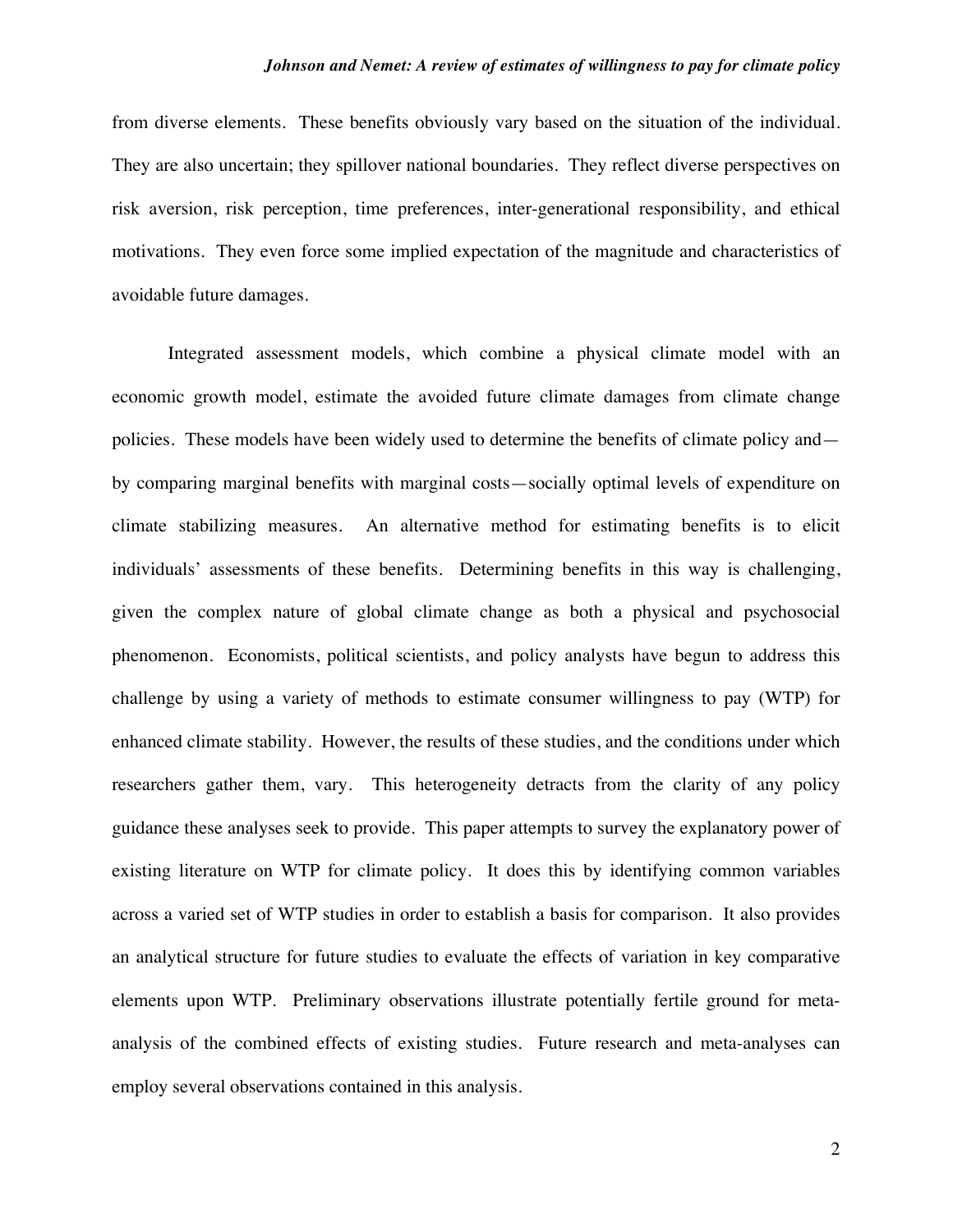from diverse elements. These benefits obviously vary based on the situation of the individual. They are also uncertain; they spillover national boundaries. They reflect diverse perspectives on risk aversion, risk perception, time preferences, inter-generational responsibility, and ethical motivations. They even force some implied expectation of the magnitude and characteristics of avoidable future damages.

Integrated assessment models, which combine a physical climate model with an economic growth model, estimate the avoided future climate damages from climate change policies. These models have been widely used to determine the benefits of climate policy and by comparing marginal benefits with marginal costs—socially optimal levels of expenditure on climate stabilizing measures. An alternative method for estimating benefits is to elicit individuals' assessments of these benefits. Determining benefits in this way is challenging, given the complex nature of global climate change as both a physical and psychosocial phenomenon. Economists, political scientists, and policy analysts have begun to address this challenge by using a variety of methods to estimate consumer willingness to pay (WTP) for enhanced climate stability. However, the results of these studies, and the conditions under which researchers gather them, vary. This heterogeneity detracts from the clarity of any policy guidance these analyses seek to provide. This paper attempts to survey the explanatory power of existing literature on WTP for climate policy. It does this by identifying common variables across a varied set of WTP studies in order to establish a basis for comparison. It also provides an analytical structure for future studies to evaluate the effects of variation in key comparative elements upon WTP. Preliminary observations illustrate potentially fertile ground for metaanalysis of the combined effects of existing studies. Future research and meta-analyses can employ several observations contained in this analysis.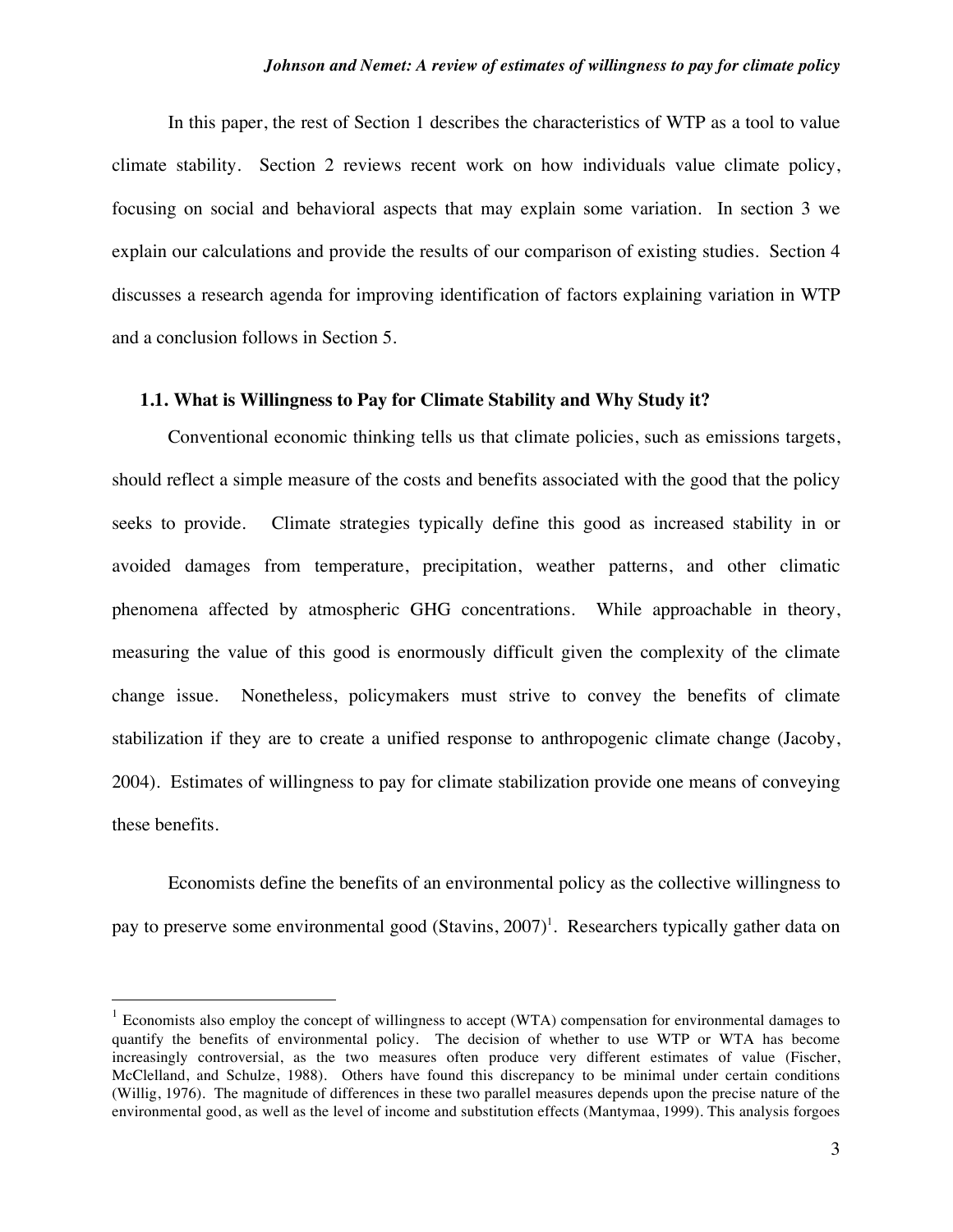In this paper, the rest of Section 1 describes the characteristics of WTP as a tool to value climate stability. Section 2 reviews recent work on how individuals value climate policy, focusing on social and behavioral aspects that may explain some variation. In section 3 we explain our calculations and provide the results of our comparison of existing studies. Section 4 discusses a research agenda for improving identification of factors explaining variation in WTP and a conclusion follows in Section 5.

#### **1.1. What is Willingness to Pay for Climate Stability and Why Study it?**

Conventional economic thinking tells us that climate policies, such as emissions targets, should reflect a simple measure of the costs and benefits associated with the good that the policy seeks to provide. Climate strategies typically define this good as increased stability in or avoided damages from temperature, precipitation, weather patterns, and other climatic phenomena affected by atmospheric GHG concentrations. While approachable in theory, measuring the value of this good is enormously difficult given the complexity of the climate change issue. Nonetheless, policymakers must strive to convey the benefits of climate stabilization if they are to create a unified response to anthropogenic climate change (Jacoby, 2004). Estimates of willingness to pay for climate stabilization provide one means of conveying these benefits.

Economists define the benefits of an environmental policy as the collective willingness to pay to preserve some environmental good (Stavins,  $2007$ )<sup>1</sup>. Researchers typically gather data on

<sup>&</sup>lt;sup>1</sup> Economists also employ the concept of willingness to accept (WTA) compensation for environmental damages to quantify the benefits of environmental policy. The decision of whether to use WTP or WTA has become increasingly controversial, as the two measures often produce very different estimates of value (Fischer, McClelland, and Schulze, 1988). Others have found this discrepancy to be minimal under certain conditions (Willig, 1976). The magnitude of differences in these two parallel measures depends upon the precise nature of the environmental good, as well as the level of income and substitution effects (Mantymaa, 1999). This analysis forgoes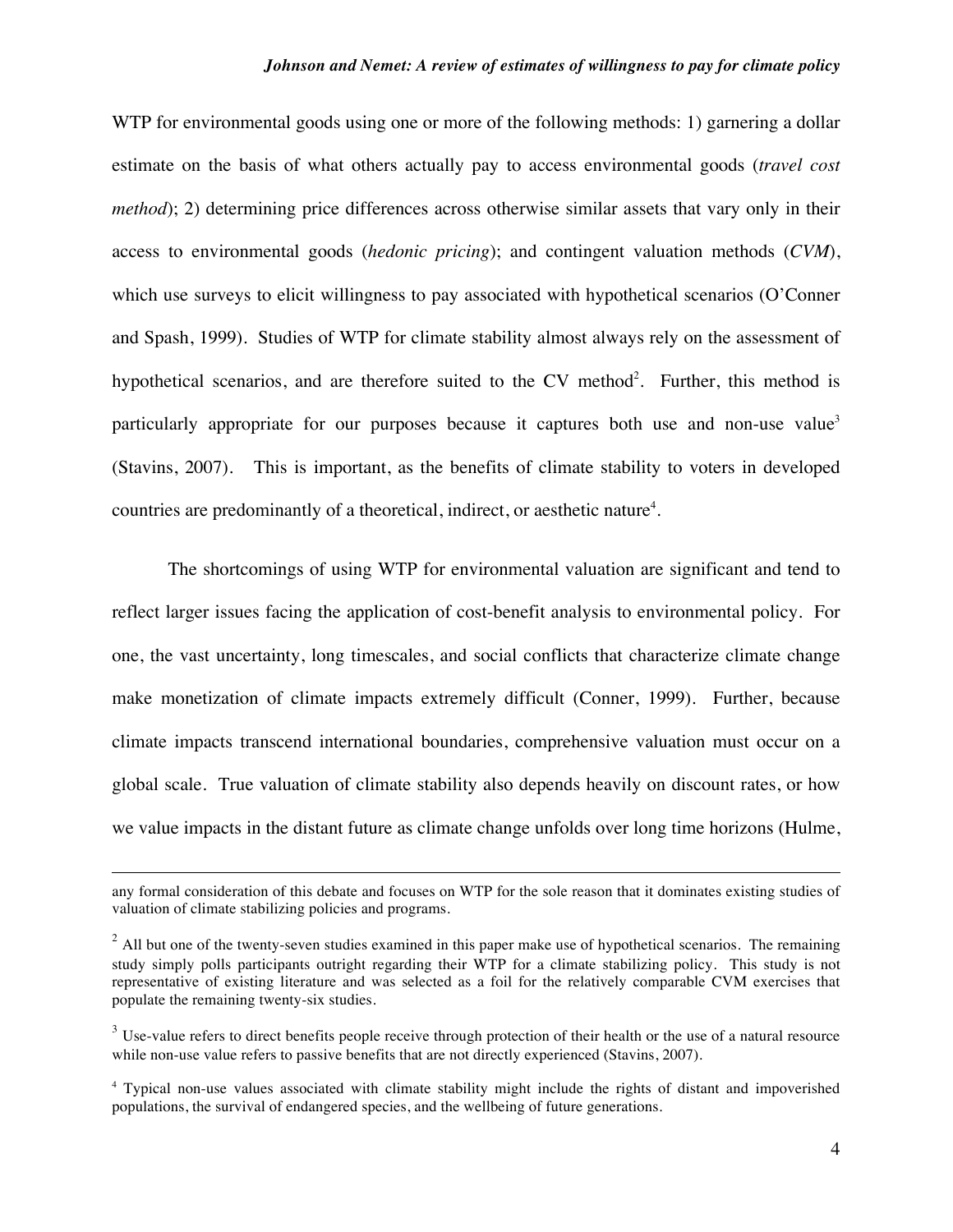WTP for environmental goods using one or more of the following methods: 1) garnering a dollar estimate on the basis of what others actually pay to access environmental goods (*travel cost method*); 2) determining price differences across otherwise similar assets that vary only in their access to environmental goods (*hedonic pricing*); and contingent valuation methods (*CVM*), which use surveys to elicit willingness to pay associated with hypothetical scenarios (O'Conner and Spash, 1999). Studies of WTP for climate stability almost always rely on the assessment of hypothetical scenarios, and are therefore suited to the CV method<sup>2</sup>. Further, this method is particularly appropriate for our purposes because it captures both use and non-use value<sup>3</sup> (Stavins, 2007). This is important, as the benefits of climate stability to voters in developed countries are predominantly of a theoretical, indirect, or aesthetic nature<sup>4</sup>.

The shortcomings of using WTP for environmental valuation are significant and tend to reflect larger issues facing the application of cost-benefit analysis to environmental policy. For one, the vast uncertainty, long timescales, and social conflicts that characterize climate change make monetization of climate impacts extremely difficult (Conner, 1999). Further, because climate impacts transcend international boundaries, comprehensive valuation must occur on a global scale. True valuation of climate stability also depends heavily on discount rates, or how we value impacts in the distant future as climate change unfolds over long time horizons (Hulme,

 $\overline{a}$ 

any formal consideration of this debate and focuses on WTP for the sole reason that it dominates existing studies of valuation of climate stabilizing policies and programs.

 $2$  All but one of the twenty-seven studies examined in this paper make use of hypothetical scenarios. The remaining study simply polls participants outright regarding their WTP for a climate stabilizing policy. This study is not representative of existing literature and was selected as a foil for the relatively comparable CVM exercises that populate the remaining twenty-six studies.

 $3$  Use-value refers to direct benefits people receive through protection of their health or the use of a natural resource while non-use value refers to passive benefits that are not directly experienced (Stavins, 2007).

<sup>&</sup>lt;sup>4</sup> Typical non-use values associated with climate stability might include the rights of distant and impoverished populations, the survival of endangered species, and the wellbeing of future generations.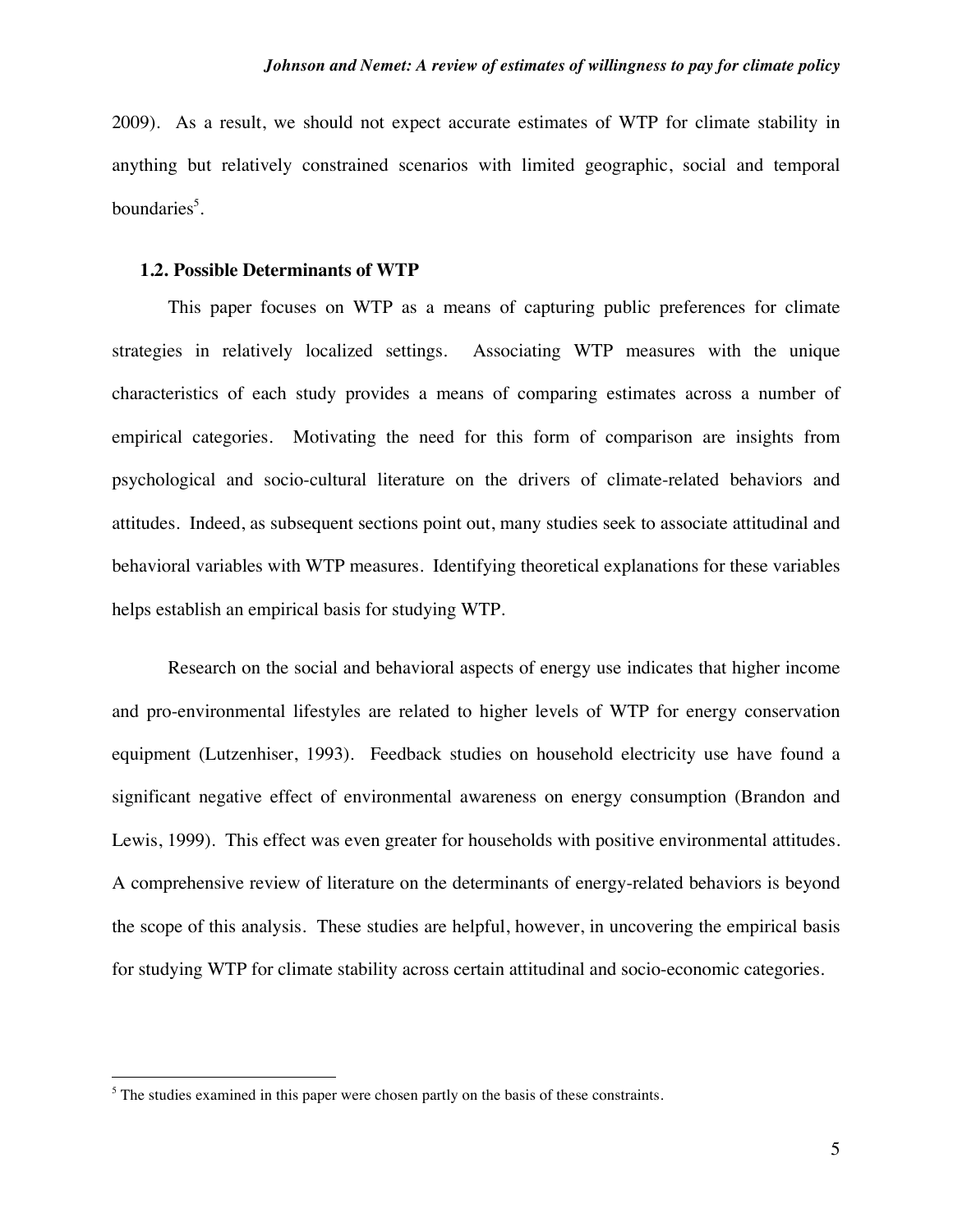2009). As a result, we should not expect accurate estimates of WTP for climate stability in anything but relatively constrained scenarios with limited geographic, social and temporal boundaries<sup>5</sup>.

#### **1.2. Possible Determinants of WTP**

This paper focuses on WTP as a means of capturing public preferences for climate strategies in relatively localized settings. Associating WTP measures with the unique characteristics of each study provides a means of comparing estimates across a number of empirical categories. Motivating the need for this form of comparison are insights from psychological and socio-cultural literature on the drivers of climate-related behaviors and attitudes. Indeed, as subsequent sections point out, many studies seek to associate attitudinal and behavioral variables with WTP measures. Identifying theoretical explanations for these variables helps establish an empirical basis for studying WTP.

Research on the social and behavioral aspects of energy use indicates that higher income and pro-environmental lifestyles are related to higher levels of WTP for energy conservation equipment (Lutzenhiser, 1993). Feedback studies on household electricity use have found a significant negative effect of environmental awareness on energy consumption (Brandon and Lewis, 1999). This effect was even greater for households with positive environmental attitudes. A comprehensive review of literature on the determinants of energy-related behaviors is beyond the scope of this analysis. These studies are helpful, however, in uncovering the empirical basis for studying WTP for climate stability across certain attitudinal and socio-economic categories.

 <sup>5</sup>  $<sup>5</sup>$  The studies examined in this paper were chosen partly on the basis of these constraints.</sup>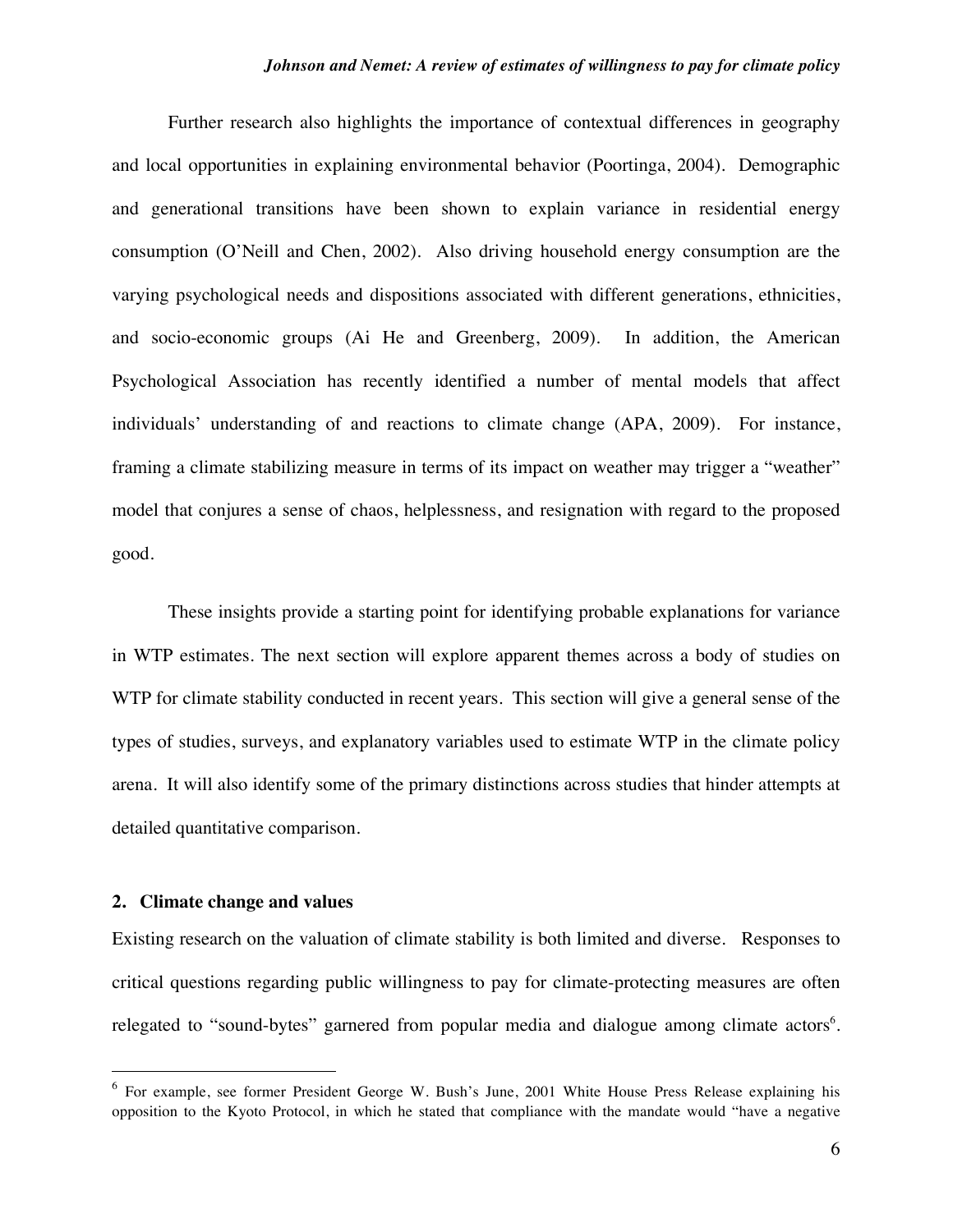Further research also highlights the importance of contextual differences in geography and local opportunities in explaining environmental behavior (Poortinga, 2004). Demographic and generational transitions have been shown to explain variance in residential energy consumption (O'Neill and Chen, 2002). Also driving household energy consumption are the varying psychological needs and dispositions associated with different generations, ethnicities, and socio-economic groups (Ai He and Greenberg, 2009). In addition, the American Psychological Association has recently identified a number of mental models that affect individuals' understanding of and reactions to climate change (APA, 2009). For instance, framing a climate stabilizing measure in terms of its impact on weather may trigger a "weather" model that conjures a sense of chaos, helplessness, and resignation with regard to the proposed good.

These insights provide a starting point for identifying probable explanations for variance in WTP estimates. The next section will explore apparent themes across a body of studies on WTP for climate stability conducted in recent years. This section will give a general sense of the types of studies, surveys, and explanatory variables used to estimate WTP in the climate policy arena. It will also identify some of the primary distinctions across studies that hinder attempts at detailed quantitative comparison.

#### **2. Climate change and values**

Existing research on the valuation of climate stability is both limited and diverse. Responses to critical questions regarding public willingness to pay for climate-protecting measures are often relegated to "sound-bytes" garnered from popular media and dialogue among climate actors<sup>6</sup>.

 <sup>6</sup> For example, see former President George W. Bush's June, 2001 White House Press Release explaining his opposition to the Kyoto Protocol, in which he stated that compliance with the mandate would "have a negative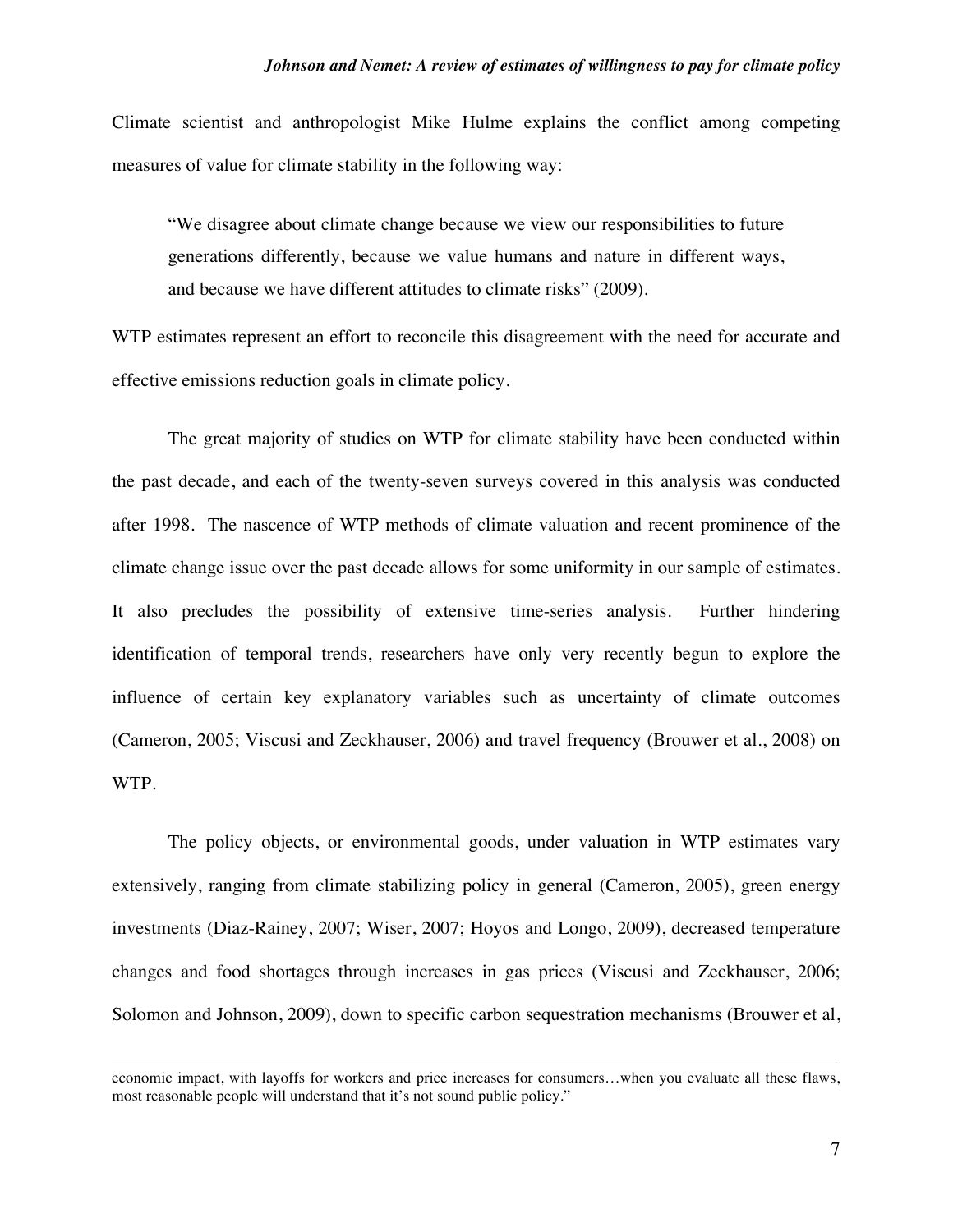Climate scientist and anthropologist Mike Hulme explains the conflict among competing measures of value for climate stability in the following way:

"We disagree about climate change because we view our responsibilities to future generations differently, because we value humans and nature in different ways, and because we have different attitudes to climate risks" (2009).

WTP estimates represent an effort to reconcile this disagreement with the need for accurate and effective emissions reduction goals in climate policy.

The great majority of studies on WTP for climate stability have been conducted within the past decade, and each of the twenty-seven surveys covered in this analysis was conducted after 1998. The nascence of WTP methods of climate valuation and recent prominence of the climate change issue over the past decade allows for some uniformity in our sample of estimates. It also precludes the possibility of extensive time-series analysis. Further hindering identification of temporal trends, researchers have only very recently begun to explore the influence of certain key explanatory variables such as uncertainty of climate outcomes (Cameron, 2005; Viscusi and Zeckhauser, 2006) and travel frequency (Brouwer et al., 2008) on WTP.

The policy objects, or environmental goods, under valuation in WTP estimates vary extensively, ranging from climate stabilizing policy in general (Cameron, 2005), green energy investments (Diaz-Rainey, 2007; Wiser, 2007; Hoyos and Longo, 2009), decreased temperature changes and food shortages through increases in gas prices (Viscusi and Zeckhauser, 2006; Solomon and Johnson, 2009), down to specific carbon sequestration mechanisms (Brouwer et al,

 $\overline{a}$ 

economic impact, with layoffs for workers and price increases for consumers…when you evaluate all these flaws, most reasonable people will understand that it's not sound public policy."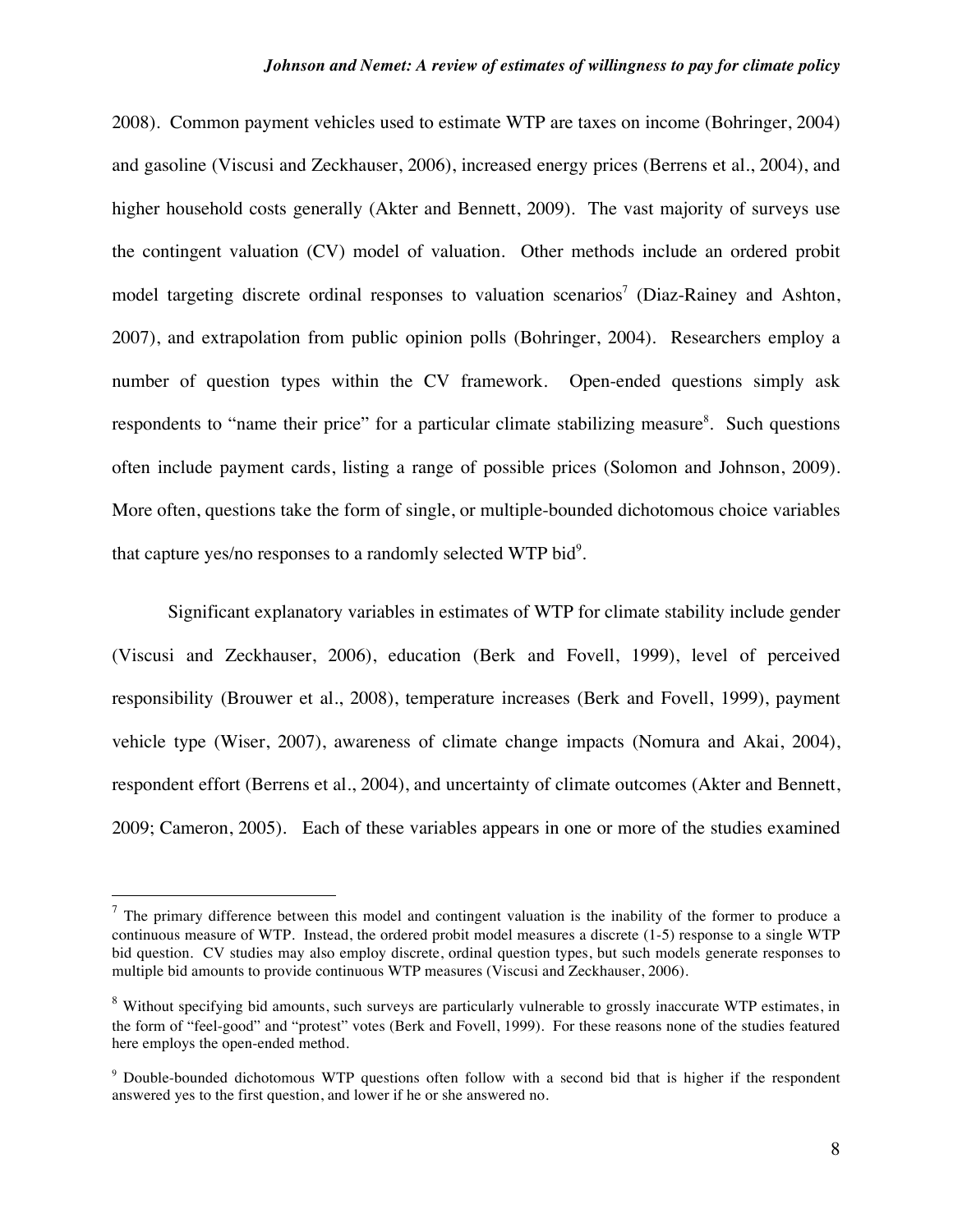2008). Common payment vehicles used to estimate WTP are taxes on income (Bohringer, 2004) and gasoline (Viscusi and Zeckhauser, 2006), increased energy prices (Berrens et al., 2004), and higher household costs generally (Akter and Bennett, 2009). The vast majority of surveys use the contingent valuation (CV) model of valuation. Other methods include an ordered probit model targeting discrete ordinal responses to valuation scenarios<sup>7</sup> (Diaz-Rainey and Ashton, 2007), and extrapolation from public opinion polls (Bohringer, 2004). Researchers employ a number of question types within the CV framework. Open-ended questions simply ask respondents to "name their price" for a particular climate stabilizing measure<sup>8</sup>. Such questions often include payment cards, listing a range of possible prices (Solomon and Johnson, 2009). More often, questions take the form of single, or multiple-bounded dichotomous choice variables that capture yes/no responses to a randomly selected WTP bid $9$ .

Significant explanatory variables in estimates of WTP for climate stability include gender (Viscusi and Zeckhauser, 2006), education (Berk and Fovell, 1999), level of perceived responsibility (Brouwer et al., 2008), temperature increases (Berk and Fovell, 1999), payment vehicle type (Wiser, 2007), awareness of climate change impacts (Nomura and Akai, 2004), respondent effort (Berrens et al., 2004), and uncertainty of climate outcomes (Akter and Bennett, 2009; Cameron, 2005). Each of these variables appears in one or more of the studies examined

 $7$  The primary difference between this model and contingent valuation is the inability of the former to produce a continuous measure of WTP. Instead, the ordered probit model measures a discrete (1-5) response to a single WTP bid question. CV studies may also employ discrete, ordinal question types, but such models generate responses to multiple bid amounts to provide continuous WTP measures (Viscusi and Zeckhauser, 2006).

<sup>&</sup>lt;sup>8</sup> Without specifying bid amounts, such surveys are particularly vulnerable to grossly inaccurate WTP estimates, in the form of "feel-good" and "protest" votes (Berk and Fovell, 1999). For these reasons none of the studies featured here employs the open-ended method.

<sup>&</sup>lt;sup>9</sup> Double-bounded dichotomous WTP questions often follow with a second bid that is higher if the respondent answered yes to the first question, and lower if he or she answered no.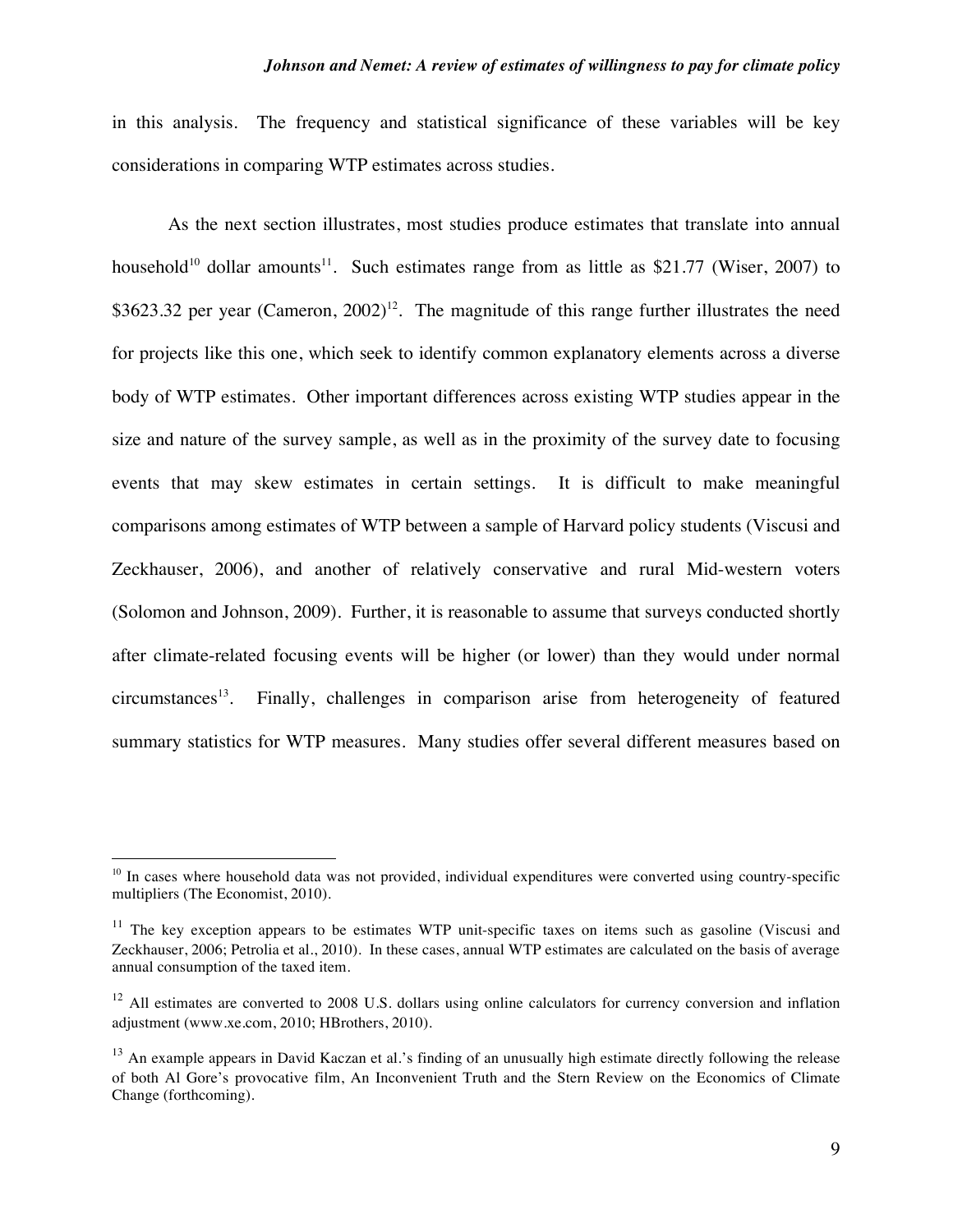in this analysis. The frequency and statistical significance of these variables will be key considerations in comparing WTP estimates across studies.

As the next section illustrates, most studies produce estimates that translate into annual household<sup>10</sup> dollar amounts<sup>11</sup>. Such estimates range from as little as \$21.77 (Wiser, 2007) to \$3623.32 per year (Cameron,  $2002$ )<sup>12</sup>. The magnitude of this range further illustrates the need for projects like this one, which seek to identify common explanatory elements across a diverse body of WTP estimates. Other important differences across existing WTP studies appear in the size and nature of the survey sample, as well as in the proximity of the survey date to focusing events that may skew estimates in certain settings. It is difficult to make meaningful comparisons among estimates of WTP between a sample of Harvard policy students (Viscusi and Zeckhauser, 2006), and another of relatively conservative and rural Mid-western voters (Solomon and Johnson, 2009). Further, it is reasonable to assume that surveys conducted shortly after climate-related focusing events will be higher (or lower) than they would under normal  $circ$  Finally, challenges in comparison arise from heterogeneity of featured summary statistics for WTP measures. Many studies offer several different measures based on

<sup>&</sup>lt;sup>10</sup> In cases where household data was not provided, individual expenditures were converted using country-specific multipliers (The Economist, 2010).

 $11$  The key exception appears to be estimates WTP unit-specific taxes on items such as gasoline (Viscusi and Zeckhauser, 2006; Petrolia et al., 2010). In these cases, annual WTP estimates are calculated on the basis of average annual consumption of the taxed item.

 $12$  All estimates are converted to 2008 U.S. dollars using online calculators for currency conversion and inflation adjustment (www.xe.com, 2010; HBrothers, 2010).

 $13$  An example appears in David Kaczan et al.'s finding of an unusually high estimate directly following the release of both Al Gore's provocative film, An Inconvenient Truth and the Stern Review on the Economics of Climate Change (forthcoming).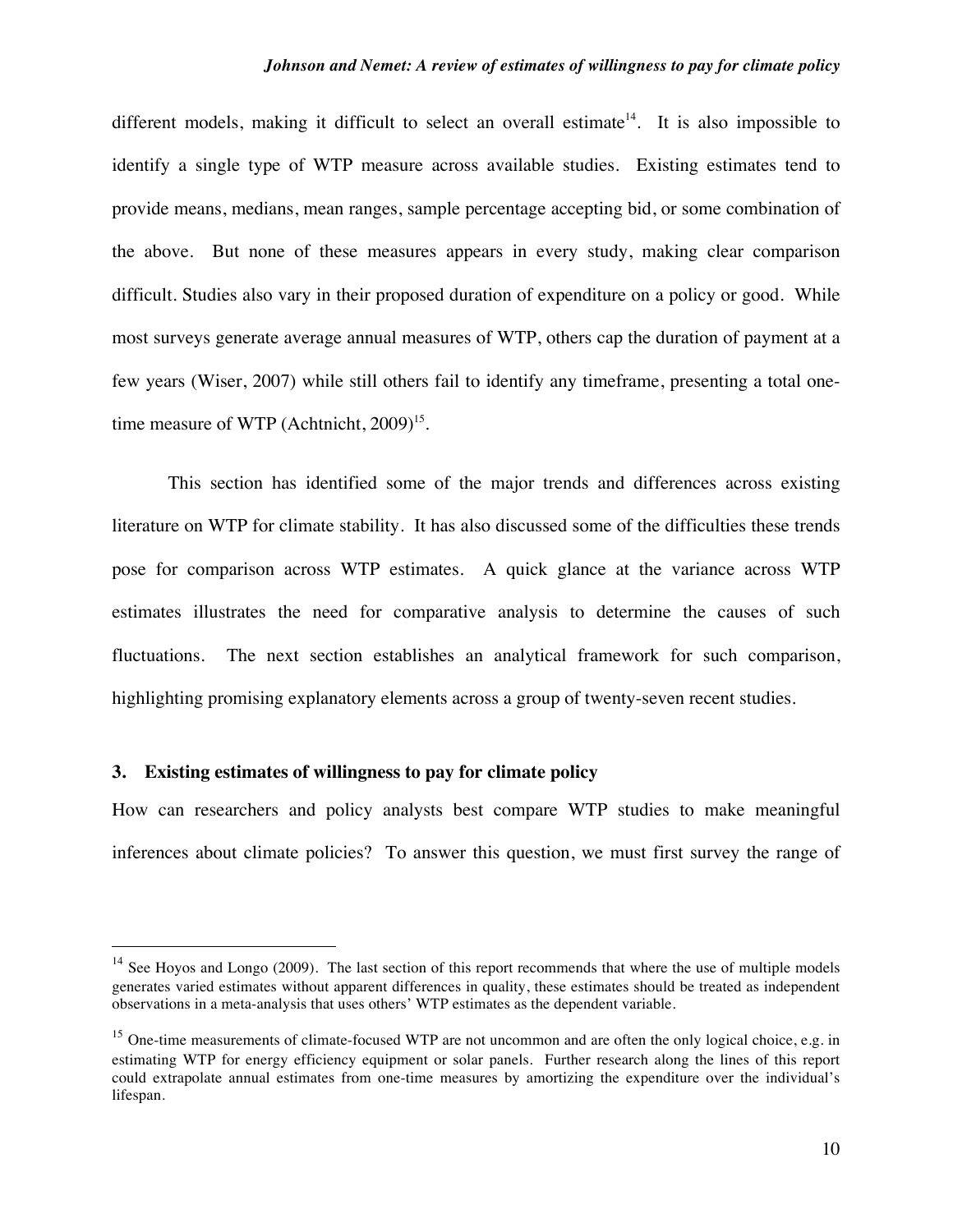different models, making it difficult to select an overall estimate<sup>14</sup>. It is also impossible to identify a single type of WTP measure across available studies. Existing estimates tend to provide means, medians, mean ranges, sample percentage accepting bid, or some combination of the above. But none of these measures appears in every study, making clear comparison difficult. Studies also vary in their proposed duration of expenditure on a policy or good. While most surveys generate average annual measures of WTP, others cap the duration of payment at a few years (Wiser, 2007) while still others fail to identify any timeframe, presenting a total onetime measure of WTP (Achtnicht,  $2009$ <sup>15</sup>.

This section has identified some of the major trends and differences across existing literature on WTP for climate stability. It has also discussed some of the difficulties these trends pose for comparison across WTP estimates. A quick glance at the variance across WTP estimates illustrates the need for comparative analysis to determine the causes of such fluctuations. The next section establishes an analytical framework for such comparison, highlighting promising explanatory elements across a group of twenty-seven recent studies.

#### **3. Existing estimates of willingness to pay for climate policy**

How can researchers and policy analysts best compare WTP studies to make meaningful inferences about climate policies? To answer this question, we must first survey the range of

<sup>&</sup>lt;sup>14</sup> See Hoyos and Longo (2009). The last section of this report recommends that where the use of multiple models generates varied estimates without apparent differences in quality, these estimates should be treated as independent observations in a meta-analysis that uses others' WTP estimates as the dependent variable.

<sup>&</sup>lt;sup>15</sup> One-time measurements of climate-focused WTP are not uncommon and are often the only logical choice, e.g. in estimating WTP for energy efficiency equipment or solar panels. Further research along the lines of this report could extrapolate annual estimates from one-time measures by amortizing the expenditure over the individual's lifespan.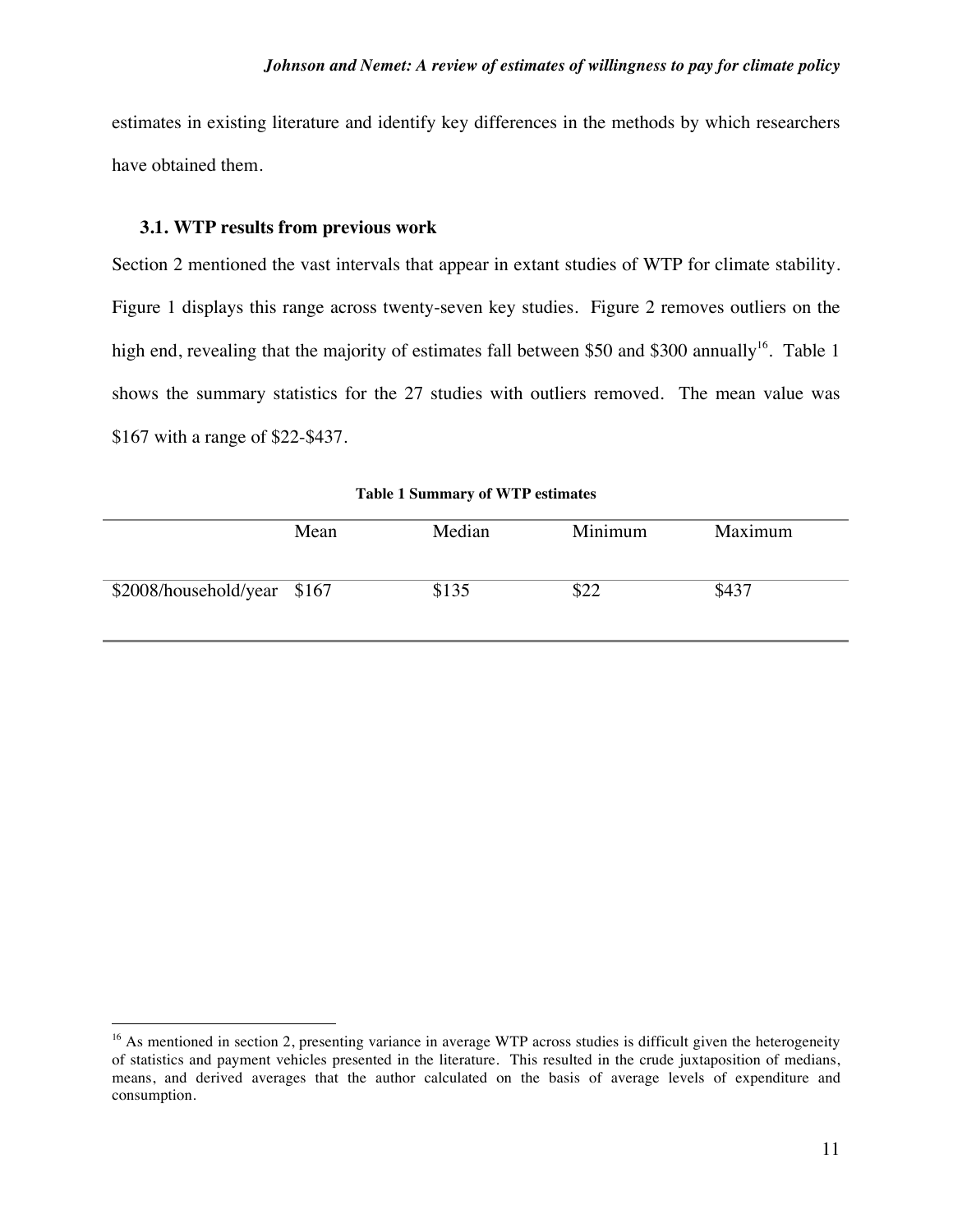estimates in existing literature and identify key differences in the methods by which researchers have obtained them.

#### **3.1. WTP results from previous work**

Section 2 mentioned the vast intervals that appear in extant studies of WTP for climate stability. Figure 1 displays this range across twenty-seven key studies. Figure 2 removes outliers on the high end, revealing that the majority of estimates fall between \$50 and \$300 annually<sup>16</sup>. Table 1 shows the summary statistics for the 27 studies with outliers removed. The mean value was \$167 with a range of \$22-\$437.

|  | <b>Table 1 Summary of WTP estimates</b> |  |  |
|--|-----------------------------------------|--|--|
|--|-----------------------------------------|--|--|

|                             | Mean | Median | Minimum | Maximum |
|-----------------------------|------|--------|---------|---------|
| \$2008/household/year \$167 |      | \$135  | \$22    | \$437   |

 $16$  As mentioned in section 2, presenting variance in average WTP across studies is difficult given the heterogeneity of statistics and payment vehicles presented in the literature. This resulted in the crude juxtaposition of medians, means, and derived averages that the author calculated on the basis of average levels of expenditure and consumption.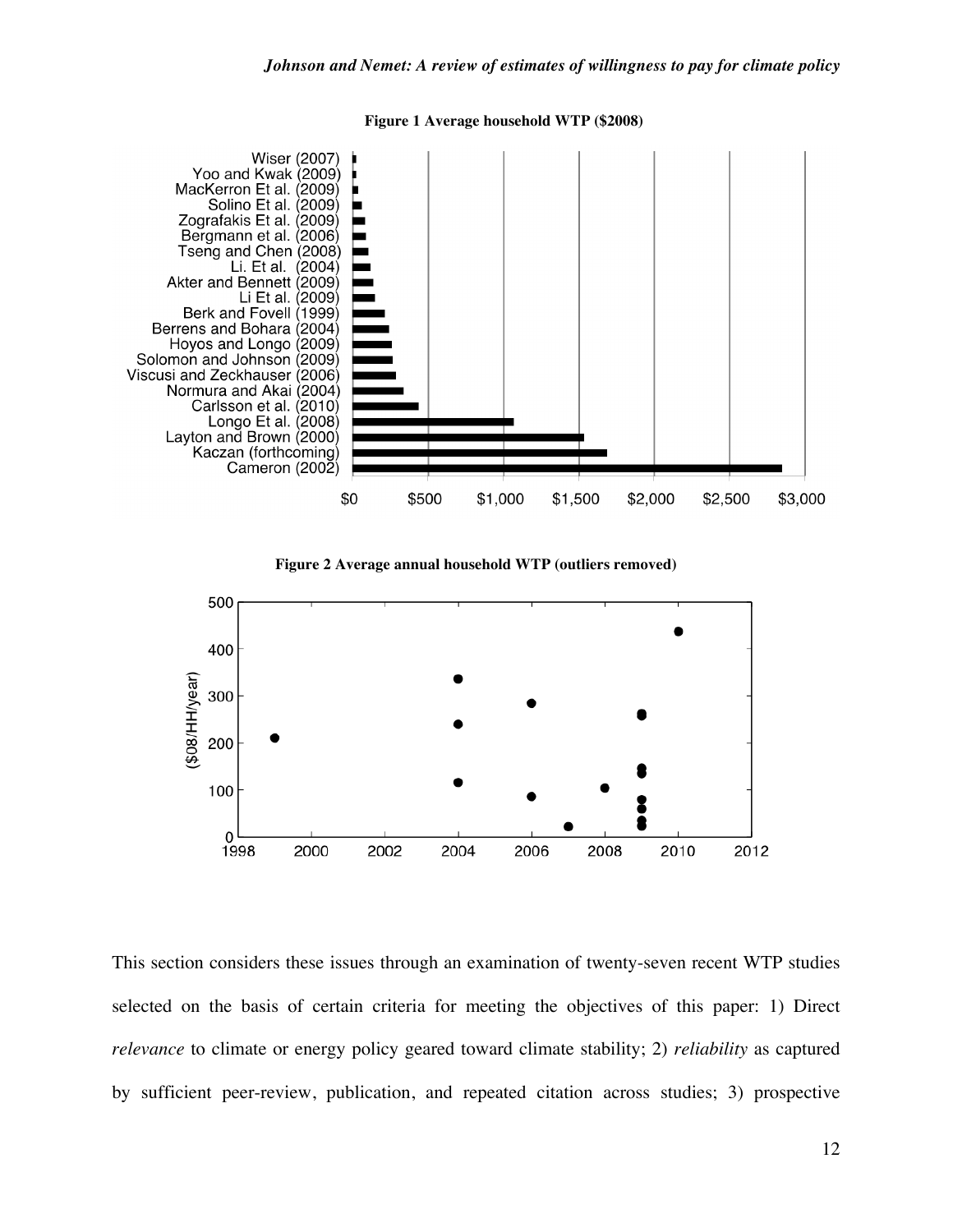

**Figure 1 Average household WTP (\$2008)**





This section considers these issues through an examination of twenty-seven recent WTP studies selected on the basis of certain criteria for meeting the objectives of this paper: 1) Direct *relevance* to climate or energy policy geared toward climate stability; 2) *reliability* as captured by sufficient peer-review, publication, and repeated citation across studies; 3) prospective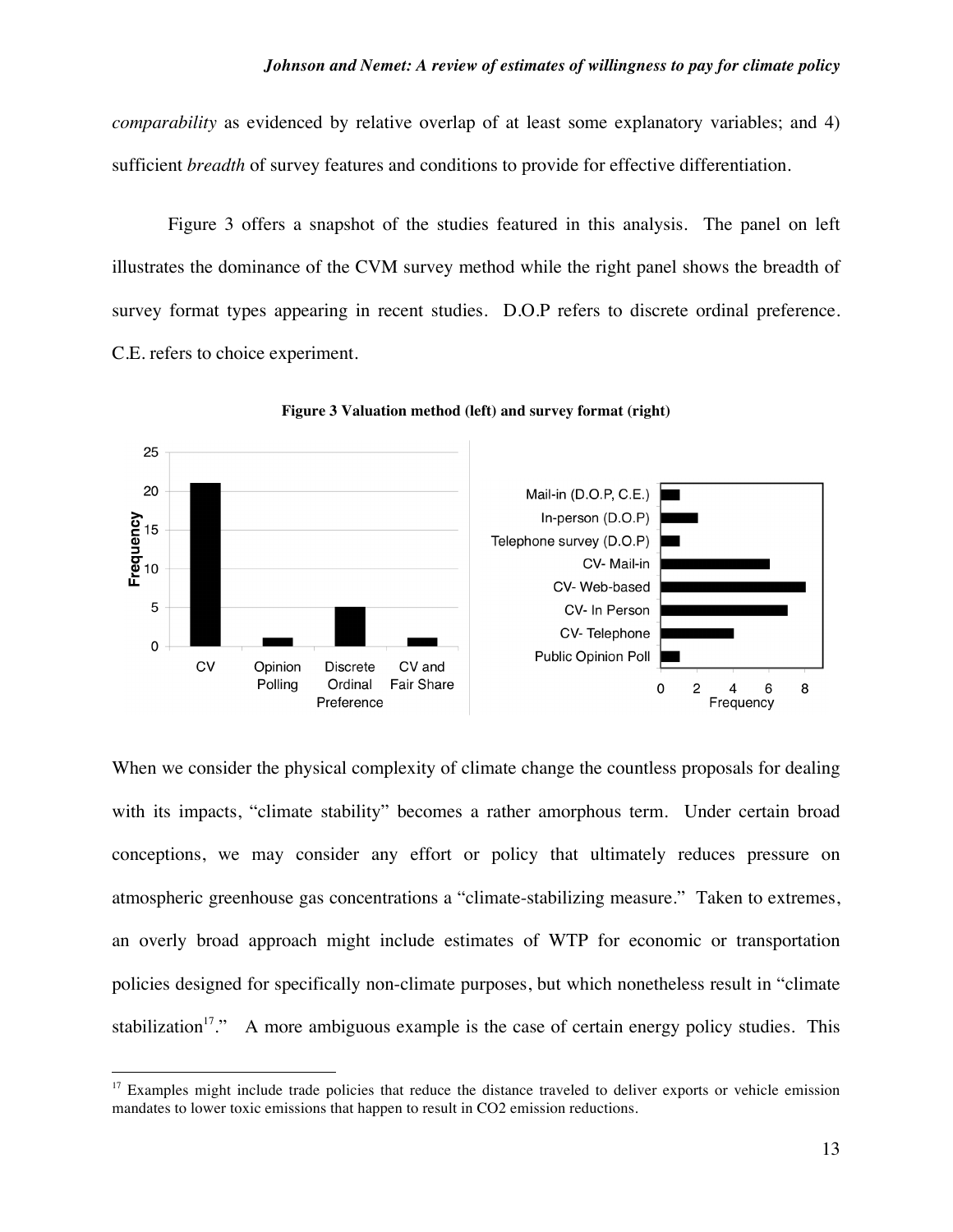*comparability* as evidenced by relative overlap of at least some explanatory variables; and 4) sufficient *breadth* of survey features and conditions to provide for effective differentiation.

Figure 3 offers a snapshot of the studies featured in this analysis. The panel on left illustrates the dominance of the CVM survey method while the right panel shows the breadth of survey format types appearing in recent studies. D.O.P refers to discrete ordinal preference. C.E. refers to choice experiment.



**Figure 3 Valuation method (left) and survey format (right)**

When we consider the physical complexity of climate change the countless proposals for dealing with its impacts, "climate stability" becomes a rather amorphous term. Under certain broad conceptions, we may consider any effort or policy that ultimately reduces pressure on atmospheric greenhouse gas concentrations a "climate-stabilizing measure." Taken to extremes, an overly broad approach might include estimates of WTP for economic or transportation policies designed for specifically non-climate purposes, but which nonetheless result in "climate stabilization<sup>17</sup>." A more ambiguous example is the case of certain energy policy studies. This

 $17$  Examples might include trade policies that reduce the distance traveled to deliver exports or vehicle emission mandates to lower toxic emissions that happen to result in CO2 emission reductions.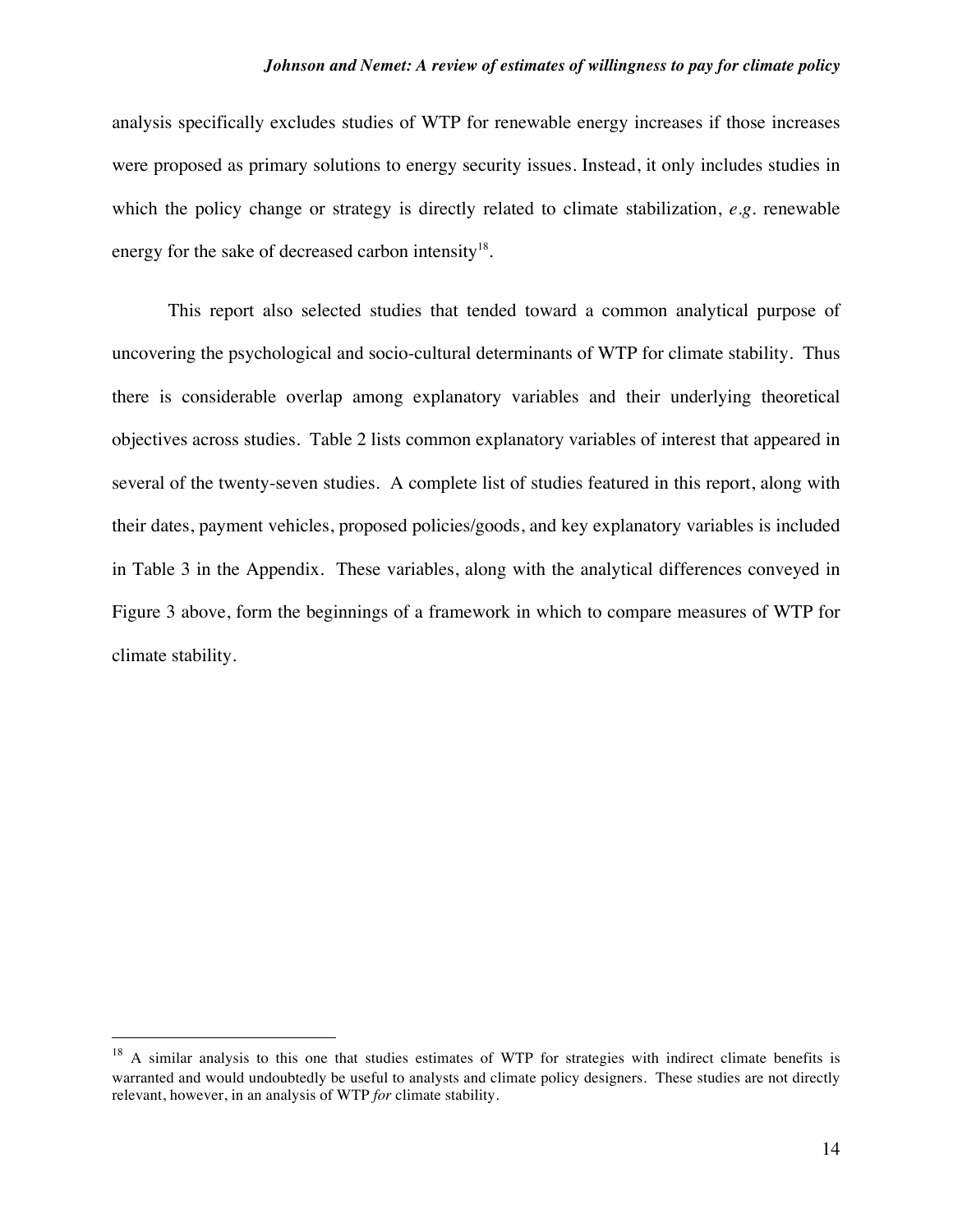analysis specifically excludes studies of WTP for renewable energy increases if those increases were proposed as primary solutions to energy security issues. Instead, it only includes studies in which the policy change or strategy is directly related to climate stabilization, *e.g.* renewable energy for the sake of decreased carbon intensity<sup>18</sup>.

This report also selected studies that tended toward a common analytical purpose of uncovering the psychological and socio-cultural determinants of WTP for climate stability. Thus there is considerable overlap among explanatory variables and their underlying theoretical objectives across studies. Table 2 lists common explanatory variables of interest that appeared in several of the twenty-seven studies. A complete list of studies featured in this report, along with their dates, payment vehicles, proposed policies/goods, and key explanatory variables is included in Table 3 in the Appendix. These variables, along with the analytical differences conveyed in Figure 3 above, form the beginnings of a framework in which to compare measures of WTP for climate stability.

 $18$  A similar analysis to this one that studies estimates of WTP for strategies with indirect climate benefits is warranted and would undoubtedly be useful to analysts and climate policy designers. These studies are not directly relevant, however, in an analysis of WTP *for* climate stability.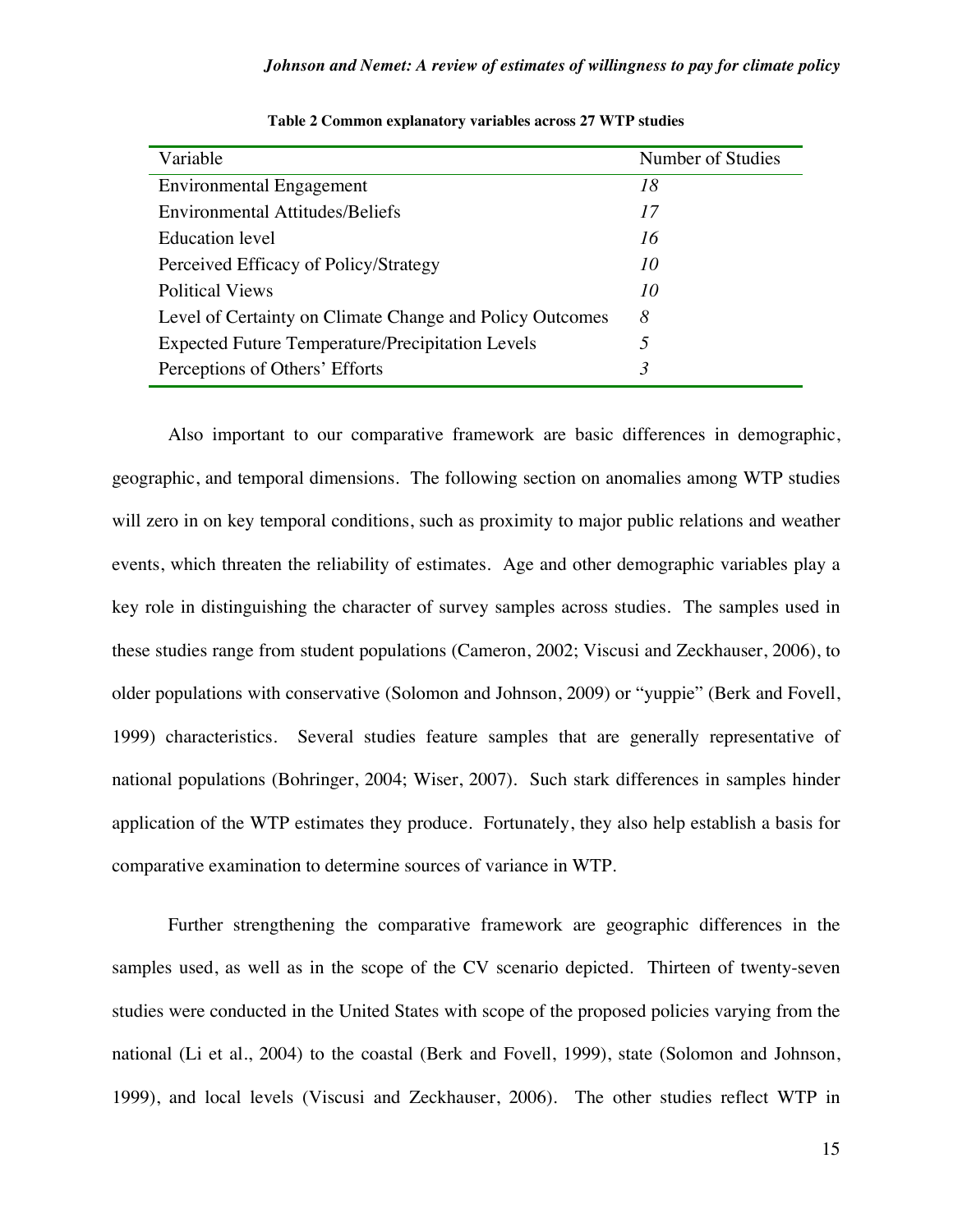| Variable                                                 | Number of Studies |
|----------------------------------------------------------|-------------------|
| <b>Environmental Engagement</b>                          | 18                |
| <b>Environmental Attitudes/Beliefs</b>                   | 17                |
| Education level                                          | 16                |
| Perceived Efficacy of Policy/Strategy                    | 10                |
| <b>Political Views</b>                                   | 10                |
| Level of Certainty on Climate Change and Policy Outcomes | 8                 |
| <b>Expected Future Temperature/Precipitation Levels</b>  | 5                 |
| Perceptions of Others' Efforts                           | 3                 |

| Table 2 Common explanatory variables across 27 WTP studies |  |  |
|------------------------------------------------------------|--|--|
|------------------------------------------------------------|--|--|

Also important to our comparative framework are basic differences in demographic, geographic, and temporal dimensions. The following section on anomalies among WTP studies will zero in on key temporal conditions, such as proximity to major public relations and weather events, which threaten the reliability of estimates. Age and other demographic variables play a key role in distinguishing the character of survey samples across studies. The samples used in these studies range from student populations (Cameron, 2002; Viscusi and Zeckhauser, 2006), to older populations with conservative (Solomon and Johnson, 2009) or "yuppie" (Berk and Fovell, 1999) characteristics. Several studies feature samples that are generally representative of national populations (Bohringer, 2004; Wiser, 2007). Such stark differences in samples hinder application of the WTP estimates they produce. Fortunately, they also help establish a basis for comparative examination to determine sources of variance in WTP.

Further strengthening the comparative framework are geographic differences in the samples used, as well as in the scope of the CV scenario depicted. Thirteen of twenty-seven studies were conducted in the United States with scope of the proposed policies varying from the national (Li et al., 2004) to the coastal (Berk and Fovell, 1999), state (Solomon and Johnson, 1999), and local levels (Viscusi and Zeckhauser, 2006). The other studies reflect WTP in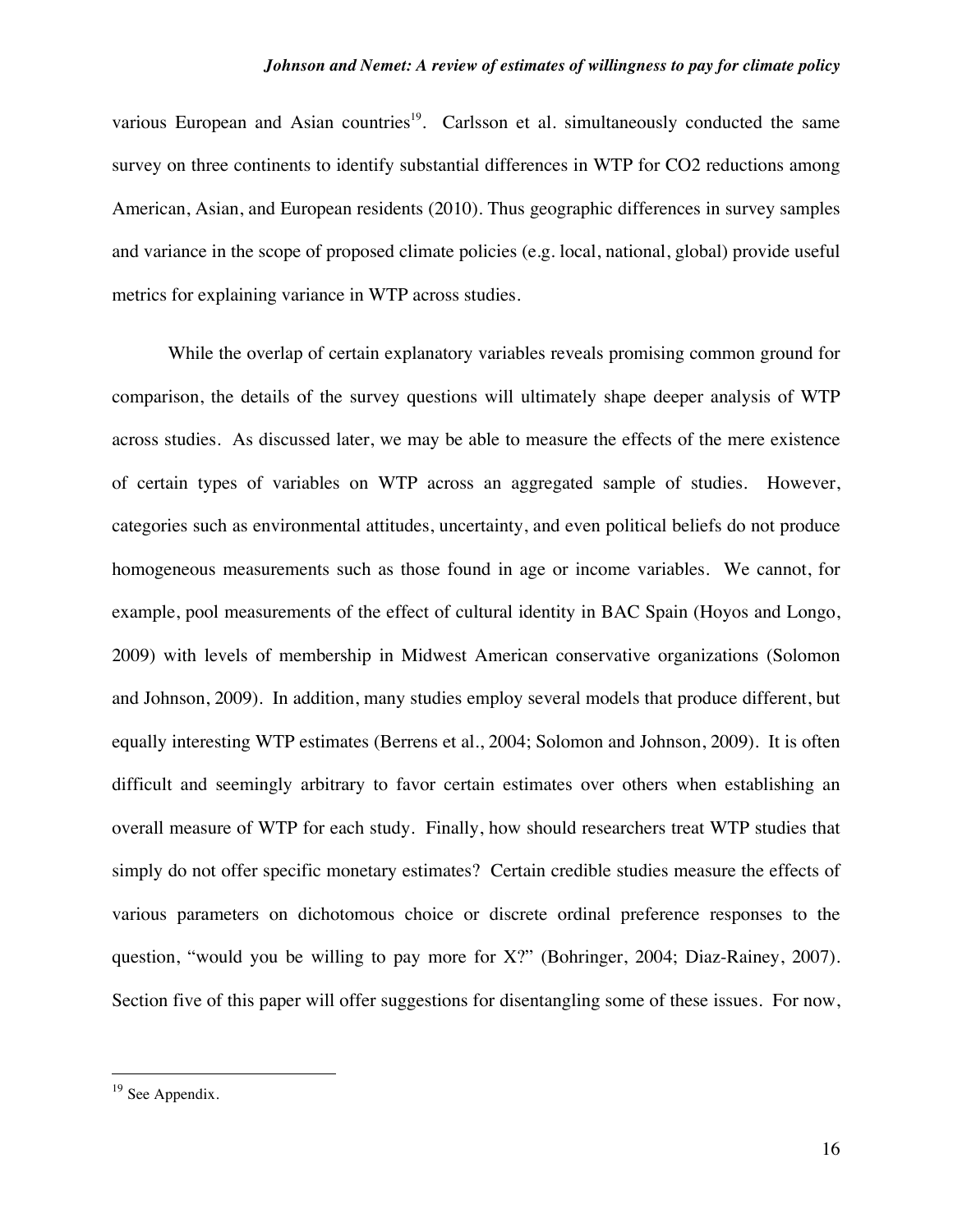various European and Asian countries<sup>19</sup>. Carlsson et al. simultaneously conducted the same survey on three continents to identify substantial differences in WTP for CO2 reductions among American, Asian, and European residents (2010). Thus geographic differences in survey samples and variance in the scope of proposed climate policies (e.g. local, national, global) provide useful metrics for explaining variance in WTP across studies.

While the overlap of certain explanatory variables reveals promising common ground for comparison, the details of the survey questions will ultimately shape deeper analysis of WTP across studies. As discussed later, we may be able to measure the effects of the mere existence of certain types of variables on WTP across an aggregated sample of studies. However, categories such as environmental attitudes, uncertainty, and even political beliefs do not produce homogeneous measurements such as those found in age or income variables. We cannot, for example, pool measurements of the effect of cultural identity in BAC Spain (Hoyos and Longo, 2009) with levels of membership in Midwest American conservative organizations (Solomon and Johnson, 2009). In addition, many studies employ several models that produce different, but equally interesting WTP estimates (Berrens et al., 2004; Solomon and Johnson, 2009). It is often difficult and seemingly arbitrary to favor certain estimates over others when establishing an overall measure of WTP for each study. Finally, how should researchers treat WTP studies that simply do not offer specific monetary estimates? Certain credible studies measure the effects of various parameters on dichotomous choice or discrete ordinal preference responses to the question, "would you be willing to pay more for X?" (Bohringer, 2004; Diaz-Rainey, 2007). Section five of this paper will offer suggestions for disentangling some of these issues. For now,

<sup>&</sup>lt;sup>19</sup> See Appendix.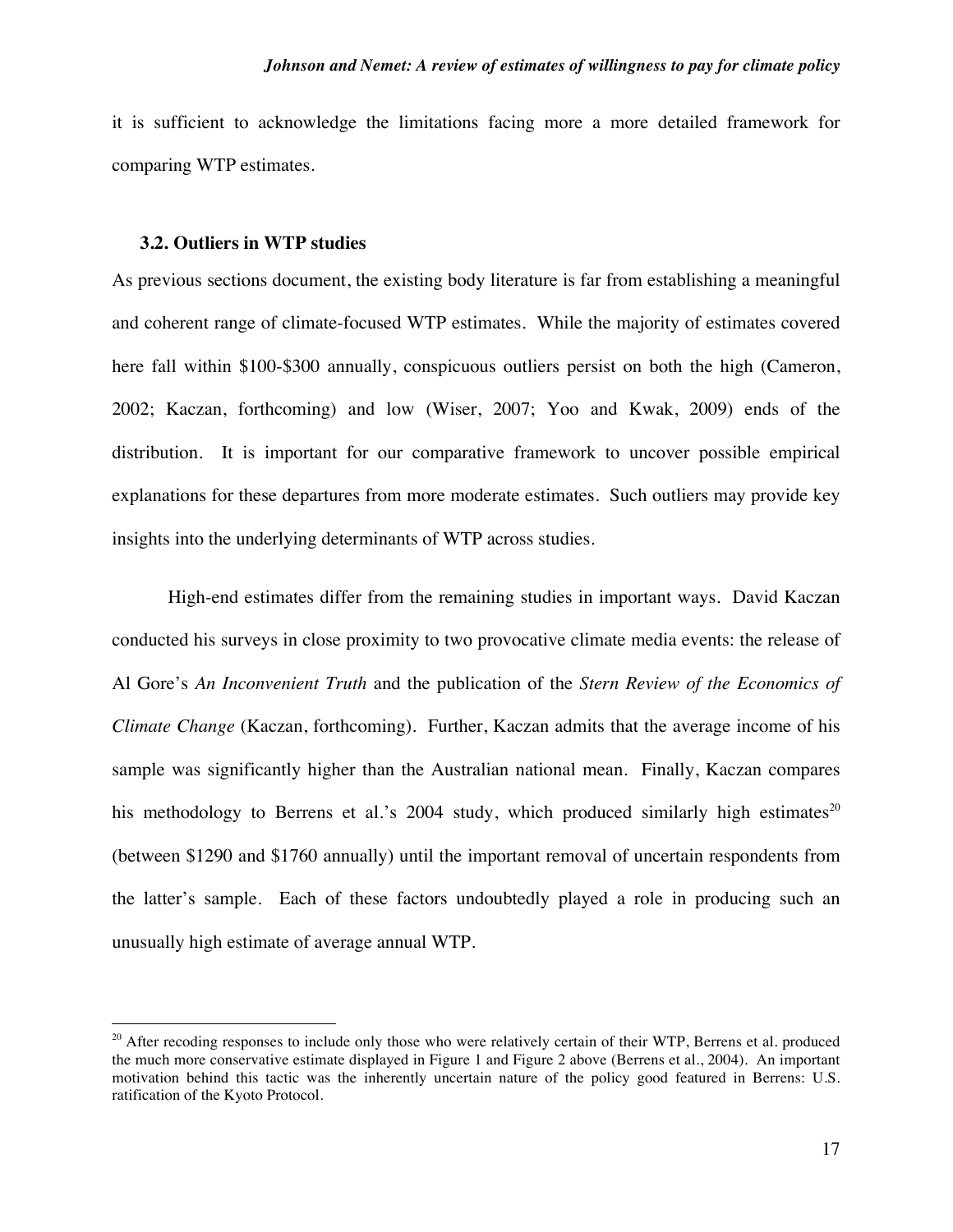it is sufficient to acknowledge the limitations facing more a more detailed framework for comparing WTP estimates.

#### **3.2. Outliers in WTP studies**

As previous sections document, the existing body literature is far from establishing a meaningful and coherent range of climate-focused WTP estimates. While the majority of estimates covered here fall within \$100-\$300 annually, conspicuous outliers persist on both the high (Cameron, 2002; Kaczan, forthcoming) and low (Wiser, 2007; Yoo and Kwak, 2009) ends of the distribution. It is important for our comparative framework to uncover possible empirical explanations for these departures from more moderate estimates. Such outliers may provide key insights into the underlying determinants of WTP across studies.

High-end estimates differ from the remaining studies in important ways. David Kaczan conducted his surveys in close proximity to two provocative climate media events: the release of Al Gore's *An Inconvenient Truth* and the publication of the *Stern Review of the Economics of Climate Change* (Kaczan, forthcoming). Further, Kaczan admits that the average income of his sample was significantly higher than the Australian national mean. Finally, Kaczan compares his methodology to Berrens et al.'s 2004 study, which produced similarly high estimates<sup>20</sup> (between \$1290 and \$1760 annually) until the important removal of uncertain respondents from the latter's sample. Each of these factors undoubtedly played a role in producing such an unusually high estimate of average annual WTP.

 $20$  After recoding responses to include only those who were relatively certain of their WTP, Berrens et al. produced the much more conservative estimate displayed in Figure 1 and Figure 2 above (Berrens et al., 2004). An important motivation behind this tactic was the inherently uncertain nature of the policy good featured in Berrens: U.S. ratification of the Kyoto Protocol.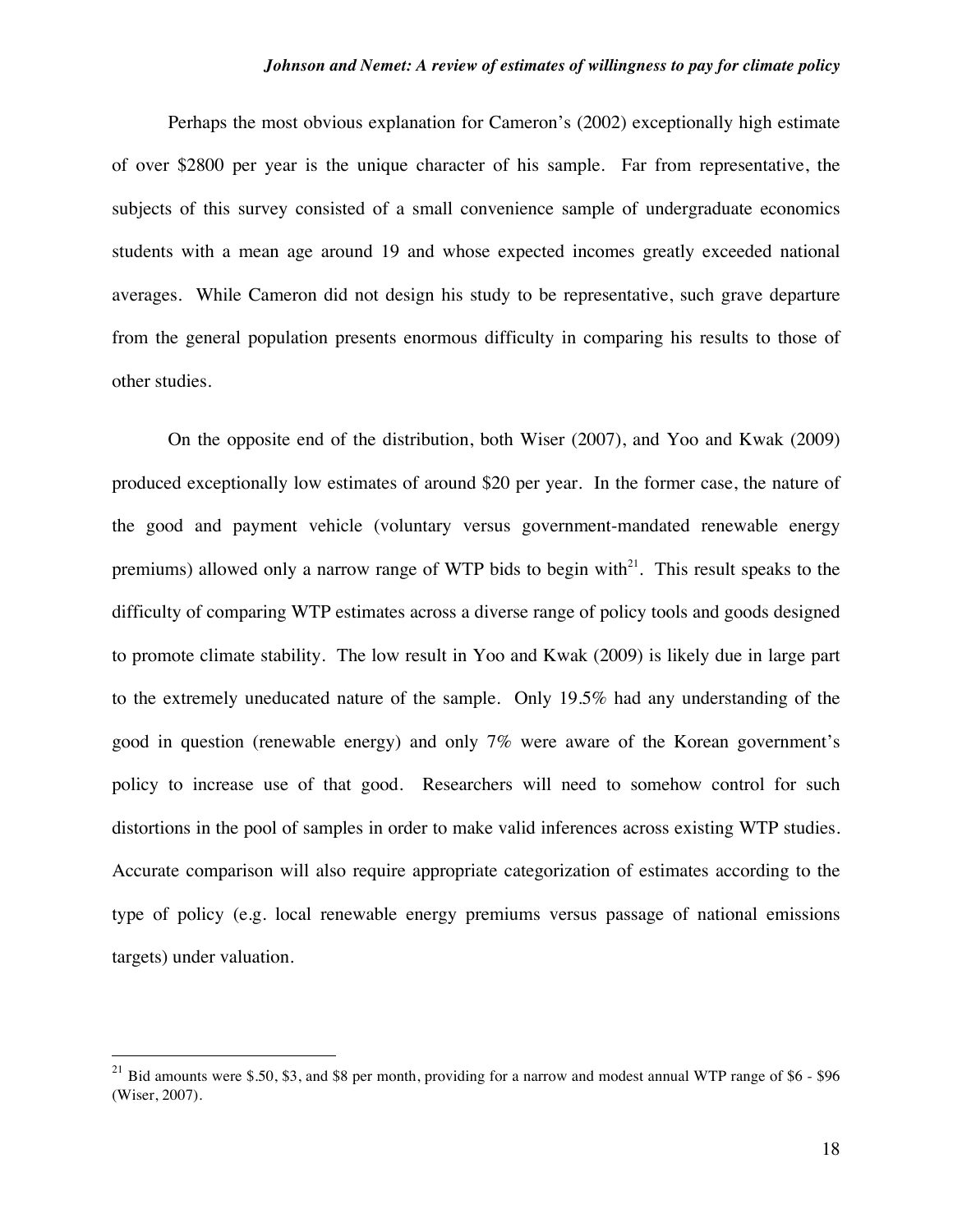Perhaps the most obvious explanation for Cameron's (2002) exceptionally high estimate of over \$2800 per year is the unique character of his sample. Far from representative, the subjects of this survey consisted of a small convenience sample of undergraduate economics students with a mean age around 19 and whose expected incomes greatly exceeded national averages. While Cameron did not design his study to be representative, such grave departure from the general population presents enormous difficulty in comparing his results to those of other studies.

On the opposite end of the distribution, both Wiser (2007), and Yoo and Kwak (2009) produced exceptionally low estimates of around \$20 per year. In the former case, the nature of the good and payment vehicle (voluntary versus government-mandated renewable energy premiums) allowed only a narrow range of WTP bids to begin with $^{21}$ . This result speaks to the difficulty of comparing WTP estimates across a diverse range of policy tools and goods designed to promote climate stability. The low result in Yoo and Kwak (2009) is likely due in large part to the extremely uneducated nature of the sample. Only 19.5% had any understanding of the good in question (renewable energy) and only 7% were aware of the Korean government's policy to increase use of that good. Researchers will need to somehow control for such distortions in the pool of samples in order to make valid inferences across existing WTP studies. Accurate comparison will also require appropriate categorization of estimates according to the type of policy (e.g. local renewable energy premiums versus passage of national emissions targets) under valuation.

<sup>&</sup>lt;sup>21</sup> Bid amounts were \$.50, \$3, and \$8 per month, providing for a narrow and modest annual WTP range of \$6 - \$96 (Wiser, 2007).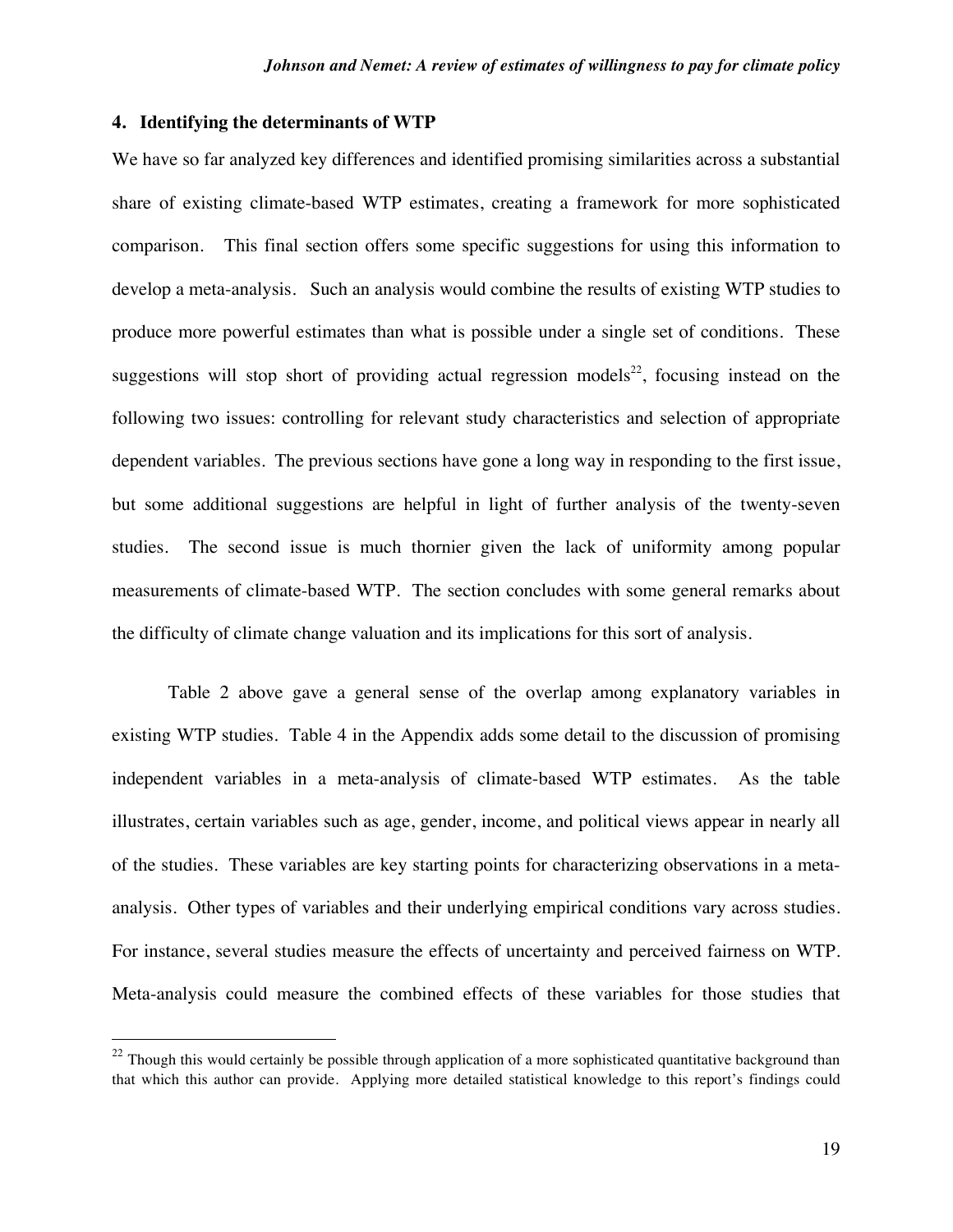#### **4. Identifying the determinants of WTP**

We have so far analyzed key differences and identified promising similarities across a substantial share of existing climate-based WTP estimates, creating a framework for more sophisticated comparison. This final section offers some specific suggestions for using this information to develop a meta-analysis. Such an analysis would combine the results of existing WTP studies to produce more powerful estimates than what is possible under a single set of conditions. These suggestions will stop short of providing actual regression models<sup>22</sup>, focusing instead on the following two issues: controlling for relevant study characteristics and selection of appropriate dependent variables. The previous sections have gone a long way in responding to the first issue, but some additional suggestions are helpful in light of further analysis of the twenty-seven studies. The second issue is much thornier given the lack of uniformity among popular measurements of climate-based WTP. The section concludes with some general remarks about the difficulty of climate change valuation and its implications for this sort of analysis.

Table 2 above gave a general sense of the overlap among explanatory variables in existing WTP studies. Table 4 in the Appendix adds some detail to the discussion of promising independent variables in a meta-analysis of climate-based WTP estimates. As the table illustrates, certain variables such as age, gender, income, and political views appear in nearly all of the studies. These variables are key starting points for characterizing observations in a metaanalysis. Other types of variables and their underlying empirical conditions vary across studies. For instance, several studies measure the effects of uncertainty and perceived fairness on WTP. Meta-analysis could measure the combined effects of these variables for those studies that

 $22$  Though this would certainly be possible through application of a more sophisticated quantitative background than that which this author can provide. Applying more detailed statistical knowledge to this report's findings could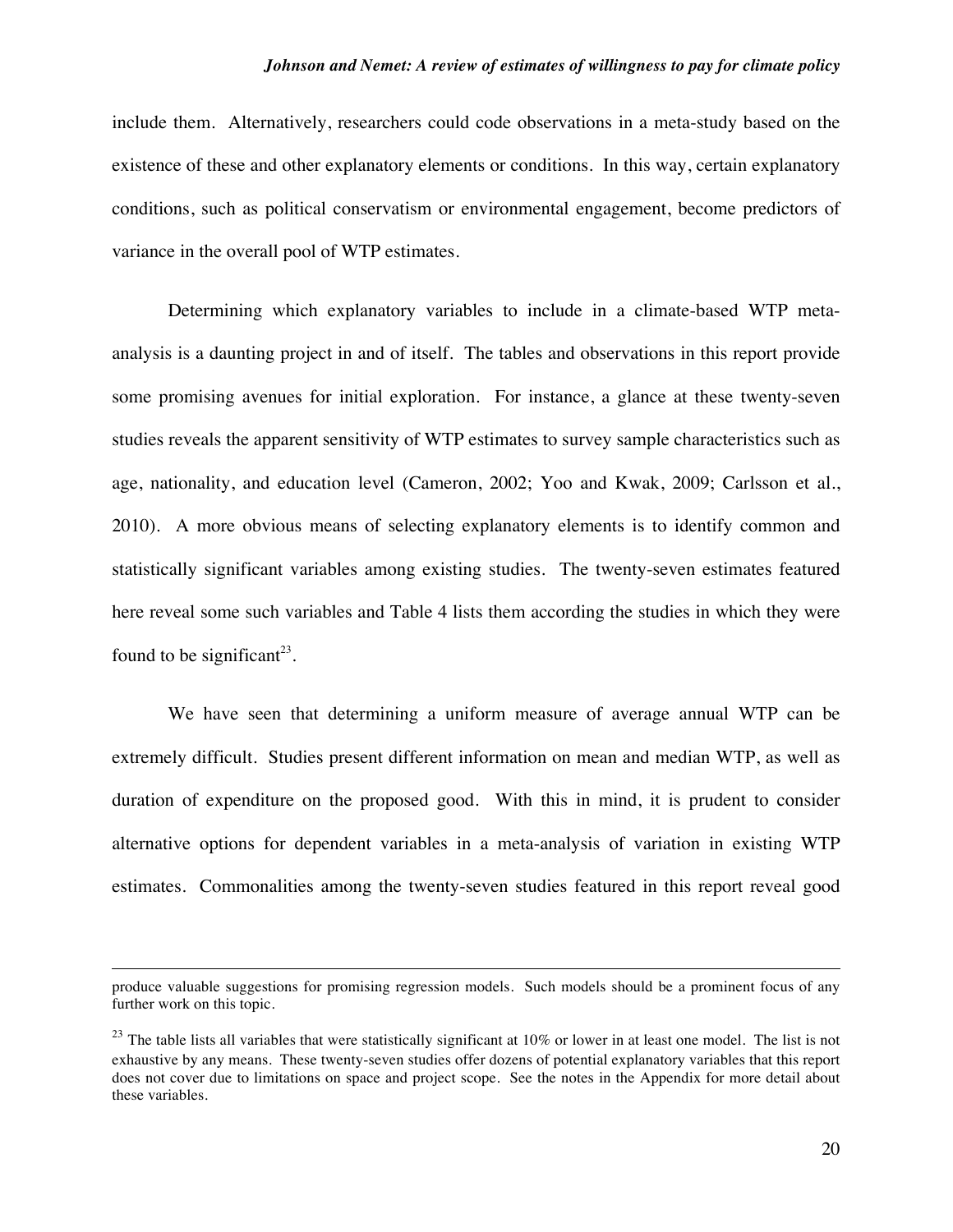include them. Alternatively, researchers could code observations in a meta-study based on the existence of these and other explanatory elements or conditions. In this way, certain explanatory conditions, such as political conservatism or environmental engagement, become predictors of variance in the overall pool of WTP estimates.

Determining which explanatory variables to include in a climate-based WTP metaanalysis is a daunting project in and of itself. The tables and observations in this report provide some promising avenues for initial exploration. For instance, a glance at these twenty-seven studies reveals the apparent sensitivity of WTP estimates to survey sample characteristics such as age, nationality, and education level (Cameron, 2002; Yoo and Kwak, 2009; Carlsson et al., 2010). A more obvious means of selecting explanatory elements is to identify common and statistically significant variables among existing studies. The twenty-seven estimates featured here reveal some such variables and Table 4 lists them according the studies in which they were found to be significant<sup>23</sup>.

We have seen that determining a uniform measure of average annual WTP can be extremely difficult. Studies present different information on mean and median WTP, as well as duration of expenditure on the proposed good. With this in mind, it is prudent to consider alternative options for dependent variables in a meta-analysis of variation in existing WTP estimates. Commonalities among the twenty-seven studies featured in this report reveal good

 $\overline{a}$ 

produce valuable suggestions for promising regression models. Such models should be a prominent focus of any further work on this topic.

 $23$  The table lists all variables that were statistically significant at 10% or lower in at least one model. The list is not exhaustive by any means. These twenty-seven studies offer dozens of potential explanatory variables that this report does not cover due to limitations on space and project scope. See the notes in the Appendix for more detail about these variables.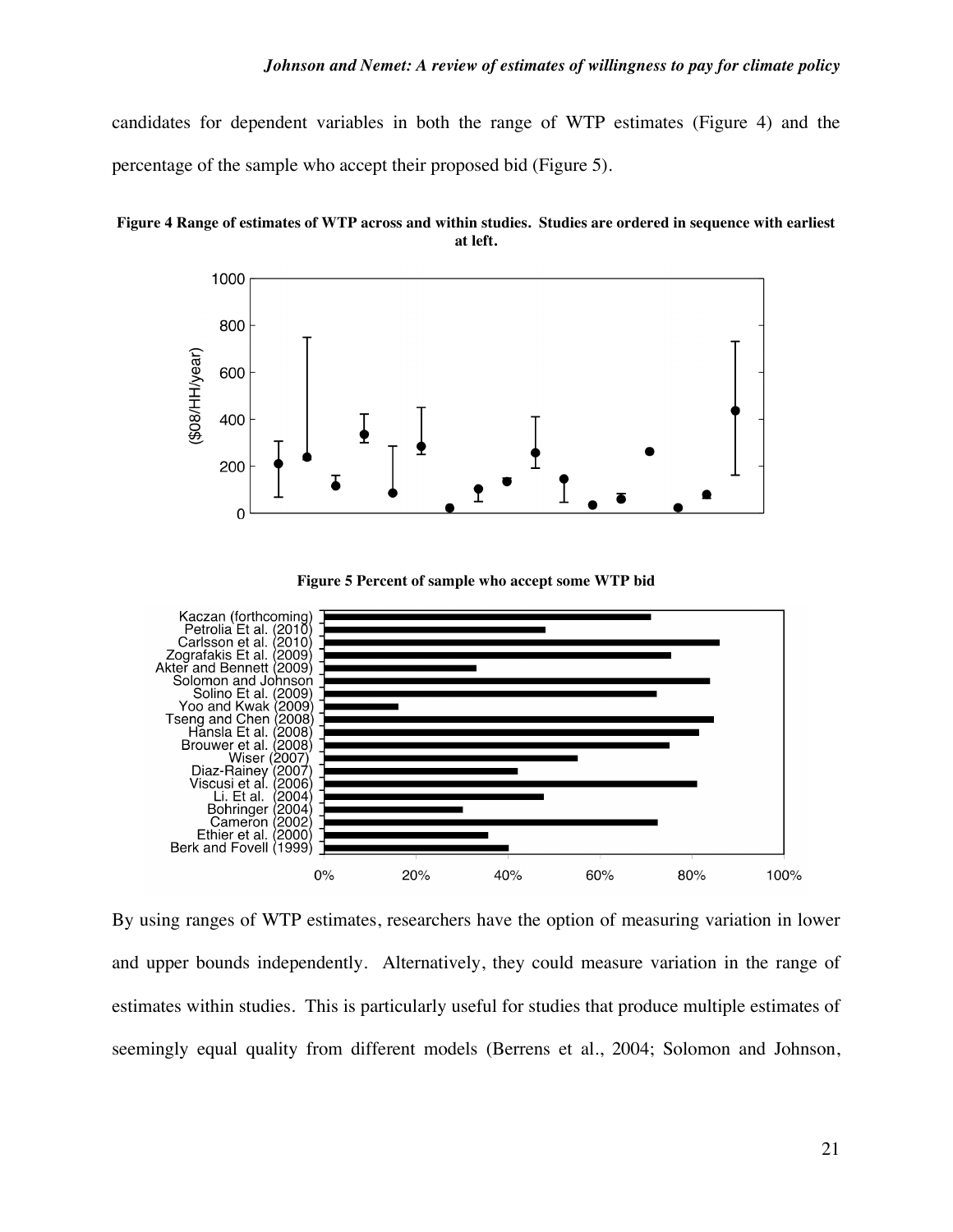candidates for dependent variables in both the range of WTP estimates (Figure 4) and the percentage of the sample who accept their proposed bid (Figure 5).





**Figure 5 Percent of sample who accept some WTP bid**



By using ranges of WTP estimates, researchers have the option of measuring variation in lower and upper bounds independently. Alternatively, they could measure variation in the range of estimates within studies. This is particularly useful for studies that produce multiple estimates of seemingly equal quality from different models (Berrens et al., 2004; Solomon and Johnson,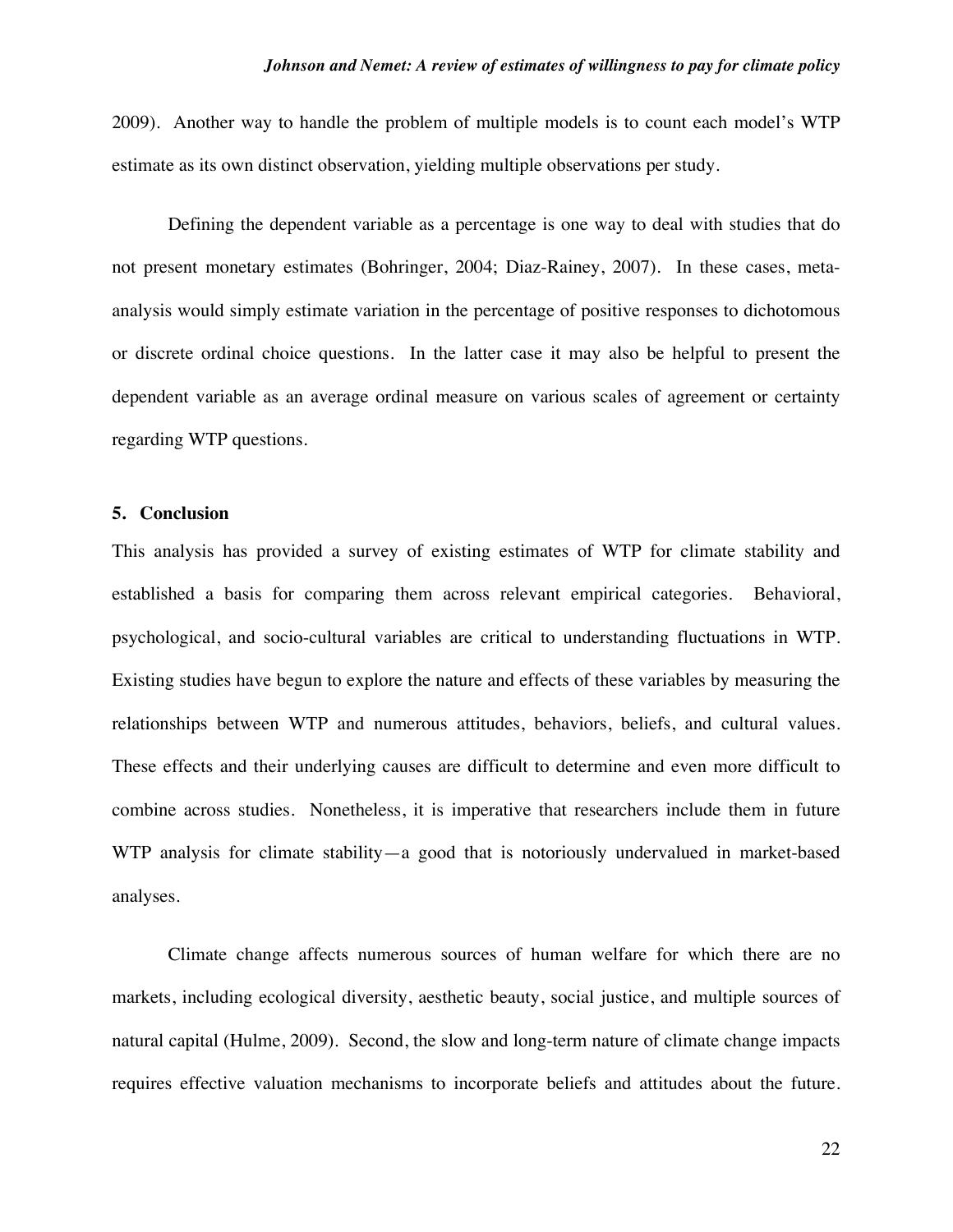2009). Another way to handle the problem of multiple models is to count each model's WTP estimate as its own distinct observation, yielding multiple observations per study.

Defining the dependent variable as a percentage is one way to deal with studies that do not present monetary estimates (Bohringer, 2004; Diaz-Rainey, 2007). In these cases, metaanalysis would simply estimate variation in the percentage of positive responses to dichotomous or discrete ordinal choice questions. In the latter case it may also be helpful to present the dependent variable as an average ordinal measure on various scales of agreement or certainty regarding WTP questions.

#### **5. Conclusion**

This analysis has provided a survey of existing estimates of WTP for climate stability and established a basis for comparing them across relevant empirical categories. Behavioral, psychological, and socio-cultural variables are critical to understanding fluctuations in WTP. Existing studies have begun to explore the nature and effects of these variables by measuring the relationships between WTP and numerous attitudes, behaviors, beliefs, and cultural values. These effects and their underlying causes are difficult to determine and even more difficult to combine across studies. Nonetheless, it is imperative that researchers include them in future WTP analysis for climate stability—a good that is notoriously undervalued in market-based analyses.

Climate change affects numerous sources of human welfare for which there are no markets, including ecological diversity, aesthetic beauty, social justice, and multiple sources of natural capital (Hulme, 2009). Second, the slow and long-term nature of climate change impacts requires effective valuation mechanisms to incorporate beliefs and attitudes about the future.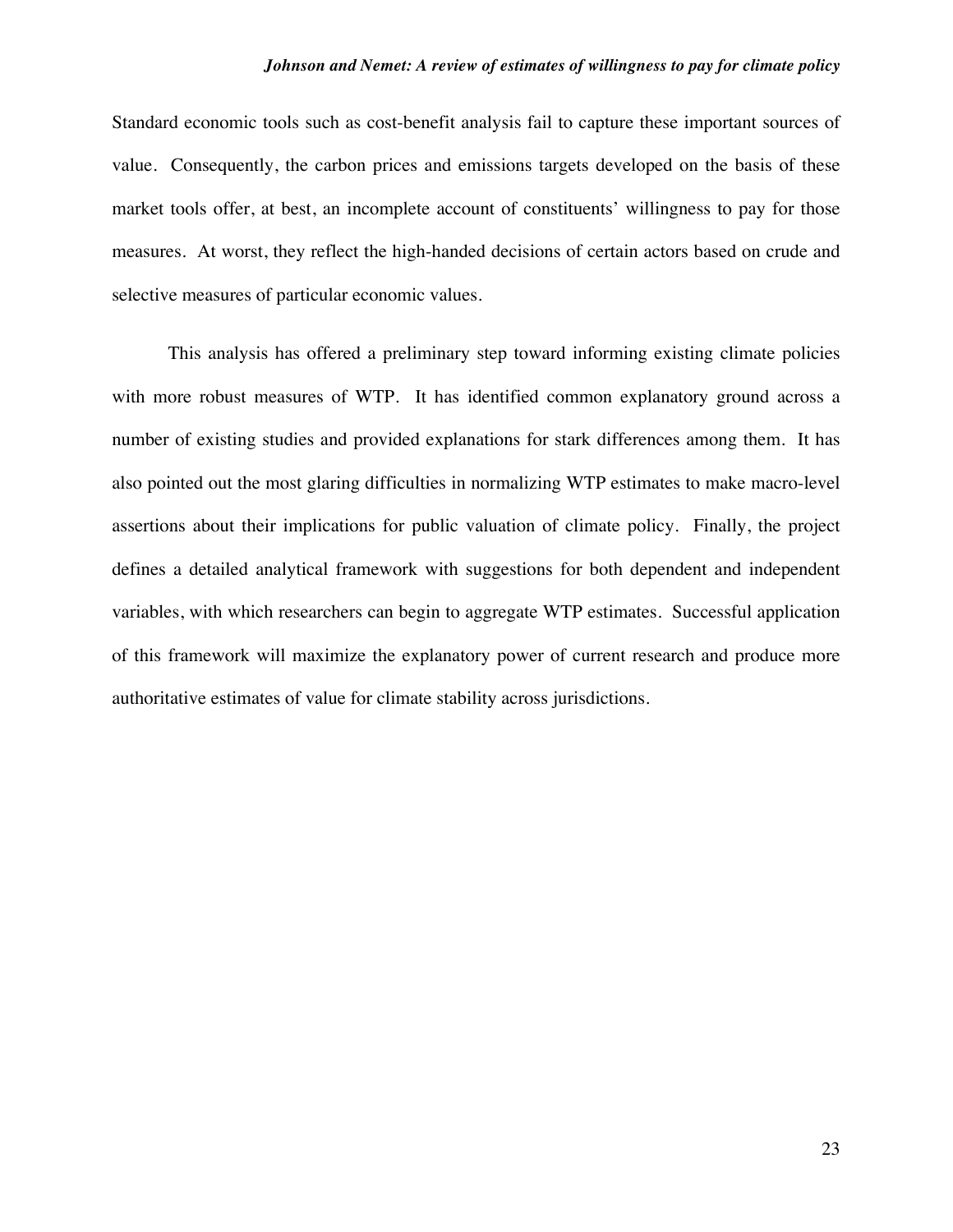Standard economic tools such as cost-benefit analysis fail to capture these important sources of value. Consequently, the carbon prices and emissions targets developed on the basis of these market tools offer, at best, an incomplete account of constituents' willingness to pay for those measures. At worst, they reflect the high-handed decisions of certain actors based on crude and selective measures of particular economic values.

This analysis has offered a preliminary step toward informing existing climate policies with more robust measures of WTP. It has identified common explanatory ground across a number of existing studies and provided explanations for stark differences among them. It has also pointed out the most glaring difficulties in normalizing WTP estimates to make macro-level assertions about their implications for public valuation of climate policy. Finally, the project defines a detailed analytical framework with suggestions for both dependent and independent variables, with which researchers can begin to aggregate WTP estimates. Successful application of this framework will maximize the explanatory power of current research and produce more authoritative estimates of value for climate stability across jurisdictions.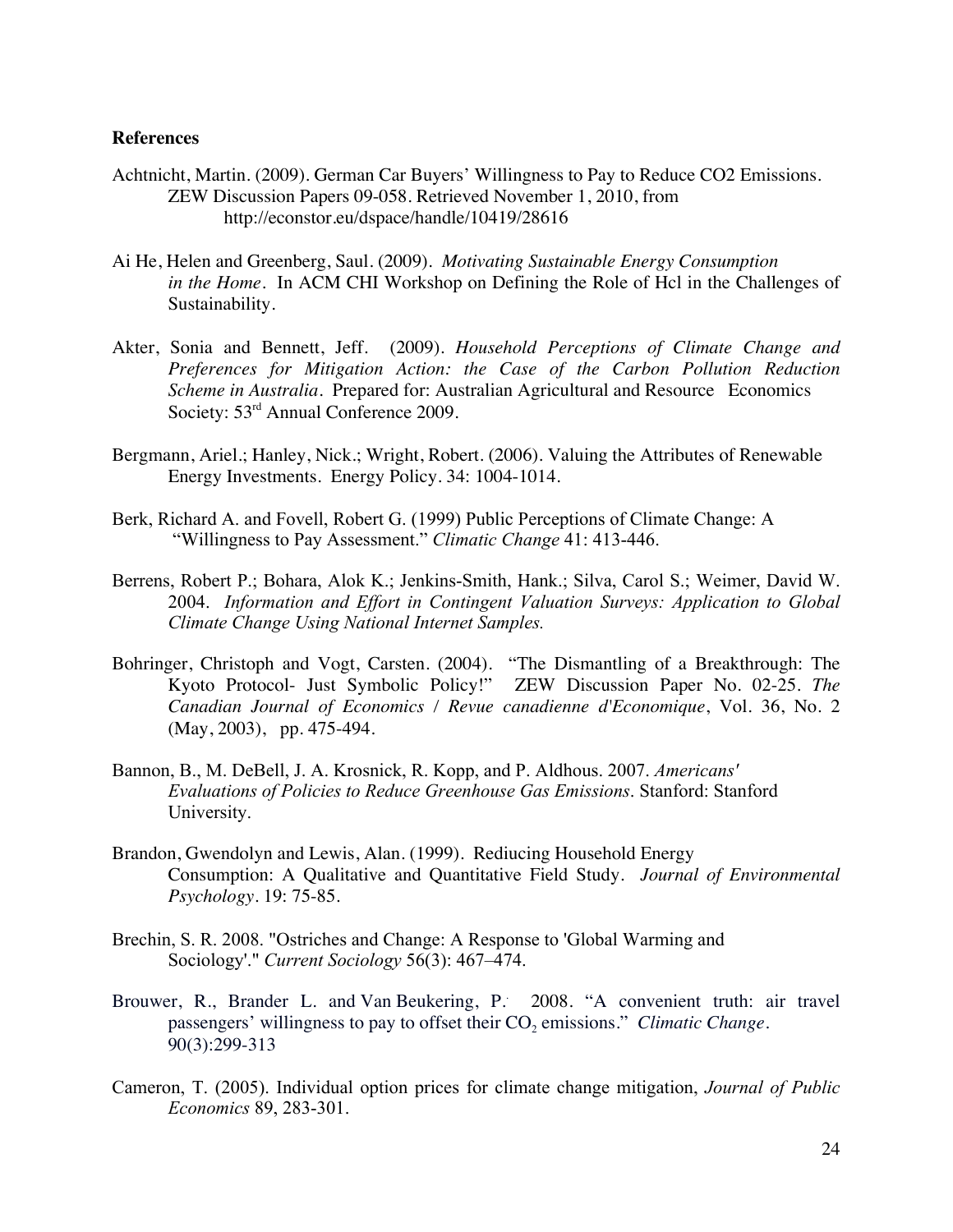#### **References**

- Achtnicht, Martin. (2009). German Car Buyers' Willingness to Pay to Reduce CO2 Emissions. ZEW Discussion Papers 09-058. Retrieved November 1, 2010, from http://econstor.eu/dspace/handle/10419/28616
- Ai He, Helen and Greenberg, Saul. (2009). *Motivating Sustainable Energy Consumption in the Home*. In ACM CHI Workshop on Defining the Role of Hcl in the Challenges of Sustainability.
- Akter, Sonia and Bennett, Jeff. (2009). *Household Perceptions of Climate Change and Preferences for Mitigation Action: the Case of the Carbon Pollution Reduction Scheme in Australia.* Prepared for: Australian Agricultural and Resource Economics Society: 53<sup>rd</sup> Annual Conference 2009.
- Bergmann, Ariel.; Hanley, Nick.; Wright, Robert. (2006). Valuing the Attributes of Renewable Energy Investments. Energy Policy. 34: 1004-1014.
- Berk, Richard A. and Fovell, Robert G. (1999) Public Perceptions of Climate Change: A "Willingness to Pay Assessment." *Climatic Change* 41: 413-446.
- Berrens, Robert P.; Bohara, Alok K.; Jenkins-Smith, Hank.; Silva, Carol S.; Weimer, David W. 2004. *Information and Effort in Contingent Valuation Surveys: Application to Global Climate Change Using National Internet Samples.*
- Bohringer, Christoph and Vogt, Carsten. (2004). "The Dismantling of a Breakthrough: The Kyoto Protocol- Just Symbolic Policy!" ZEW Discussion Paper No. 02-25. *The Canadian Journal of Economics / Revue canadienne d'Economique*, Vol. 36, No. 2 (May, 2003), pp. 475-494.
- Bannon, B., M. DeBell, J. A. Krosnick, R. Kopp, and P. Aldhous. 2007. *Americans' Evaluations of Policies to Reduce Greenhouse Gas Emissions*. Stanford: Stanford University.
- Brandon, Gwendolyn and Lewis, Alan. (1999). Rediucing Household Energy Consumption: A Qualitative and Quantitative Field Study*. Journal of Environmental Psychology*. 19: 75-85.
- Brechin, S. R. 2008. "Ostriches and Change: A Response to 'Global Warming and Sociology'." *Current Sociology* 56(3): 467–474.
- Brouwer, R., Brander L. and Van Beukering, P.. 2008. "A convenient truth: air travel passengers' willingness to pay to offset their CO<sub>2</sub> emissions." *Climatic Change*. 90(3):299-313
- Cameron, T. (2005). Individual option prices for climate change mitigation, *Journal of Public Economics* 89, 283-301.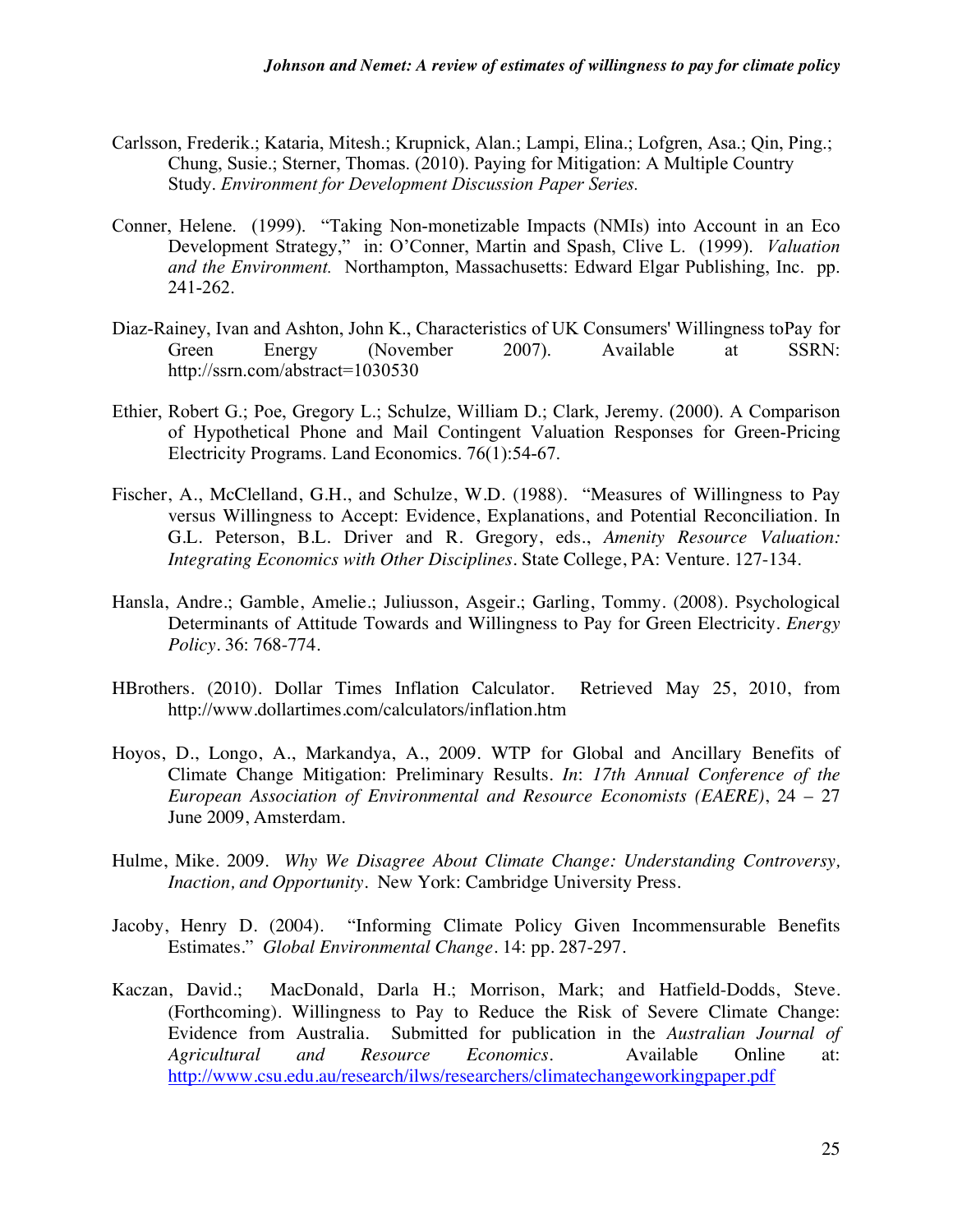- Carlsson, Frederik.; Kataria, Mitesh.; Krupnick, Alan.; Lampi, Elina.; Lofgren, Asa.; Qin, Ping.; Chung, Susie.; Sterner, Thomas. (2010). Paying for Mitigation: A Multiple Country Study. *Environment for Development Discussion Paper Series.*
- Conner, Helene. (1999). "Taking Non-monetizable Impacts (NMIs) into Account in an Eco Development Strategy," in: O'Conner, Martin and Spash, Clive L. (1999). *Valuation and the Environment.* Northampton, Massachusetts: Edward Elgar Publishing, Inc. pp. 241-262.
- Diaz-Rainey, Ivan and Ashton, John K., Characteristics of UK Consumers' Willingness toPay for Green Energy (November 2007). Available at SSRN: http://ssrn.com/abstract=1030530
- Ethier, Robert G.; Poe, Gregory L.; Schulze, William D.; Clark, Jeremy. (2000). A Comparison of Hypothetical Phone and Mail Contingent Valuation Responses for Green-Pricing Electricity Programs. Land Economics. 76(1):54-67.
- Fischer, A., McClelland, G.H., and Schulze, W.D. (1988). "Measures of Willingness to Pay versus Willingness to Accept: Evidence, Explanations, and Potential Reconciliation. In G.L. Peterson, B.L. Driver and R. Gregory, eds., *Amenity Resource Valuation: Integrating Economics with Other Disciplines*. State College, PA: Venture. 127-134.
- Hansla, Andre.; Gamble, Amelie.; Juliusson, Asgeir.; Garling, Tommy. (2008). Psychological Determinants of Attitude Towards and Willingness to Pay for Green Electricity. *Energy Policy.* 36: 768-774.
- HBrothers. (2010). Dollar Times Inflation Calculator. Retrieved May 25, 2010, from http://www.dollartimes.com/calculators/inflation.htm
- Hoyos, D., Longo, A., Markandya, A., 2009. WTP for Global and Ancillary Benefits of Climate Change Mitigation: Preliminary Results. *In*: *17th Annual Conference of the European Association of Environmental and Resource Economists (EAERE)*, 24 – 27 June 2009, Amsterdam.
- Hulme, Mike. 2009. *Why We Disagree About Climate Change: Understanding Controversy, Inaction, and Opportunity.* New York: Cambridge University Press.
- Jacoby, Henry D. (2004). "Informing Climate Policy Given Incommensurable Benefits Estimates." *Global Environmental Change*. 14: pp. 287-297.
- Kaczan, David.; MacDonald, Darla H.; Morrison, Mark; and Hatfield-Dodds, Steve. (Forthcoming). Willingness to Pay to Reduce the Risk of Severe Climate Change: Evidence from Australia. Submitted for publication in the *Australian Journal of Agricultural and Resource Economics.* Available Online at: http://www.csu.edu.au/research/ilws/researchers/climatechangeworkingpaper.pdf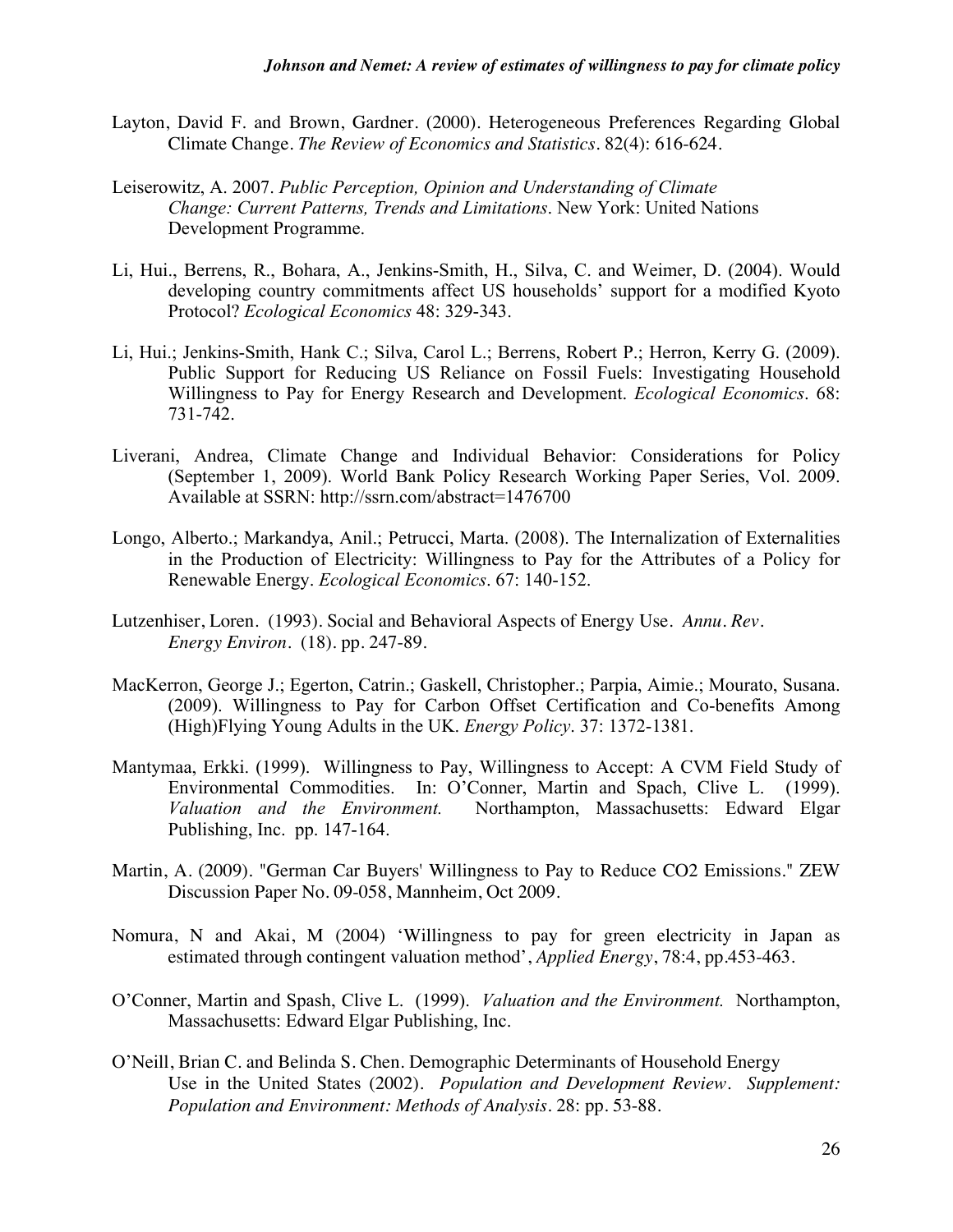- Layton, David F. and Brown, Gardner. (2000). Heterogeneous Preferences Regarding Global Climate Change. *The Review of Economics and Statistics*. 82(4): 616-624.
- Leiserowitz, A. 2007. *Public Perception, Opinion and Understanding of Climate Change: Current Patterns, Trends and Limitations*. New York: United Nations Development Programme.
- Li, Hui., Berrens, R., Bohara, A., Jenkins-Smith, H., Silva, C. and Weimer, D. (2004). Would developing country commitments affect US households' support for a modified Kyoto Protocol? *Ecological Economics* 48: 329-343.
- Li, Hui.; Jenkins-Smith, Hank C.; Silva, Carol L.; Berrens, Robert P.; Herron, Kerry G. (2009). Public Support for Reducing US Reliance on Fossil Fuels: Investigating Household Willingness to Pay for Energy Research and Development. *Ecological Economics*. 68: 731-742.
- Liverani, Andrea, Climate Change and Individual Behavior: Considerations for Policy (September 1, 2009). World Bank Policy Research Working Paper Series, Vol. 2009. Available at SSRN: http://ssrn.com/abstract=1476700
- Longo, Alberto.; Markandya, Anil.; Petrucci, Marta. (2008). The Internalization of Externalities in the Production of Electricity: Willingness to Pay for the Attributes of a Policy for Renewable Energy. *Ecological Economics*. 67: 140-152.
- Lutzenhiser, Loren. (1993). Social and Behavioral Aspects of Energy Use. *Annu. Rev. Energy Environ*. (18). pp. 247-89.
- MacKerron, George J.; Egerton, Catrin.; Gaskell, Christopher.; Parpia, Aimie.; Mourato, Susana. (2009). Willingness to Pay for Carbon Offset Certification and Co-benefits Among (High)Flying Young Adults in the UK. *Energy Policy*. 37: 1372-1381.
- Mantymaa, Erkki. (1999). Willingness to Pay, Willingness to Accept: A CVM Field Study of Environmental Commodities. In: O'Conner, Martin and Spach, Clive L. (1999). *Valuation and the Environment.* Northampton, Massachusetts: Edward Elgar Publishing, Inc. pp. 147-164.
- Martin, A. (2009). "German Car Buyers' Willingness to Pay to Reduce CO2 Emissions." ZEW Discussion Paper No. 09-058, Mannheim, Oct 2009.
- Nomura, N and Akai, M (2004) 'Willingness to pay for green electricity in Japan as estimated through contingent valuation method', *Applied Energy*, 78:4, pp.453-463.
- O'Conner, Martin and Spash, Clive L. (1999). *Valuation and the Environment.* Northampton, Massachusetts: Edward Elgar Publishing, Inc.
- O'Neill, Brian C. and Belinda S. Chen. Demographic Determinants of Household Energy Use in the United States (2002). *Population and Development Review. Supplement: Population and Environment: Methods of Analysis*. 28: pp. 53-88.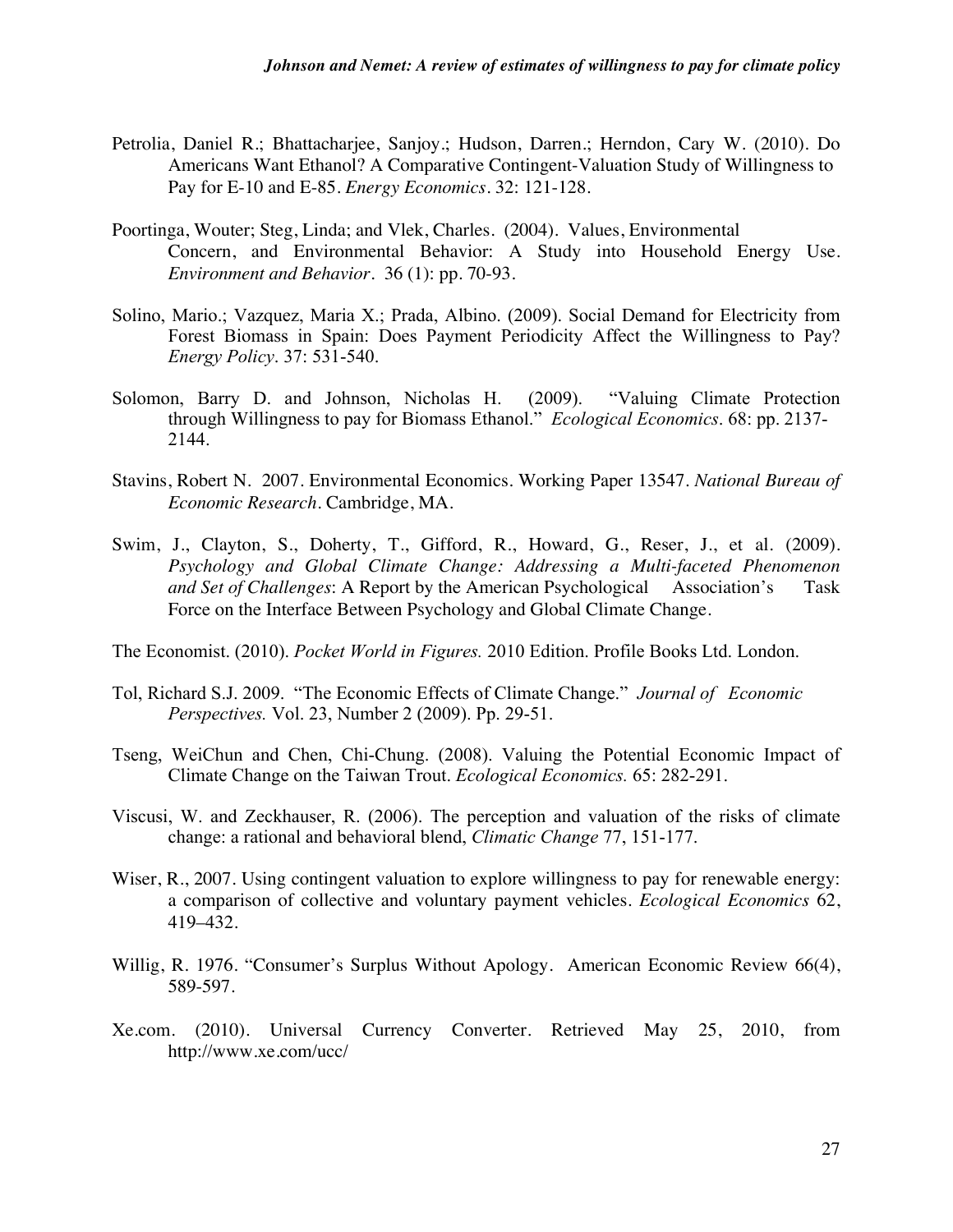- Petrolia, Daniel R.; Bhattacharjee, Sanjoy.; Hudson, Darren.; Herndon, Cary W. (2010). Do Americans Want Ethanol? A Comparative Contingent-Valuation Study of Willingness to Pay for E-10 and E-85. *Energy Economics*. 32: 121-128.
- Poortinga, Wouter; Steg, Linda; and Vlek, Charles. (2004). Values, Environmental Concern, and Environmental Behavior: A Study into Household Energy Use. *Environment and Behavior.* 36 (1): pp. 70-93.
- Solino, Mario.; Vazquez, Maria X.; Prada, Albino. (2009). Social Demand for Electricity from Forest Biomass in Spain: Does Payment Periodicity Affect the Willingness to Pay? *Energy Policy*. 37: 531-540.
- Solomon, Barry D. and Johnson, Nicholas H. (2009). "Valuing Climate Protection through Willingness to pay for Biomass Ethanol." *Ecological Economics*. 68: pp. 2137- 2144.
- Stavins, Robert N. 2007. Environmental Economics. Working Paper 13547. *National Bureau of Economic Research.* Cambridge, MA.
- Swim, J., Clayton, S., Doherty, T., Gifford, R., Howard, G., Reser, J., et al. (2009). *Psychology and Global Climate Change: Addressing a Multi-faceted Phenomenon and Set of Challenges*: A Report by the American Psychological Association's Task Force on the Interface Between Psychology and Global Climate Change.

The Economist. (2010). *Pocket World in Figures.* 2010 Edition. Profile Books Ltd. London.

- Tol, Richard S.J. 2009. "The Economic Effects of Climate Change." *Journal of Economic Perspectives.* Vol. 23, Number 2 (2009). Pp. 29-51.
- Tseng, WeiChun and Chen, Chi-Chung. (2008). Valuing the Potential Economic Impact of Climate Change on the Taiwan Trout. *Ecological Economics.* 65: 282-291.
- Viscusi, W. and Zeckhauser, R. (2006). The perception and valuation of the risks of climate change: a rational and behavioral blend, *Climatic Change* 77, 151-177.
- Wiser, R., 2007. Using contingent valuation to explore willingness to pay for renewable energy: a comparison of collective and voluntary payment vehicles. *Ecological Economics* 62, 419–432.
- Willig, R. 1976. "Consumer's Surplus Without Apology. American Economic Review 66(4), 589-597.
- Xe.com. (2010). Universal Currency Converter. Retrieved May 25, 2010, from http://www.xe.com/ucc/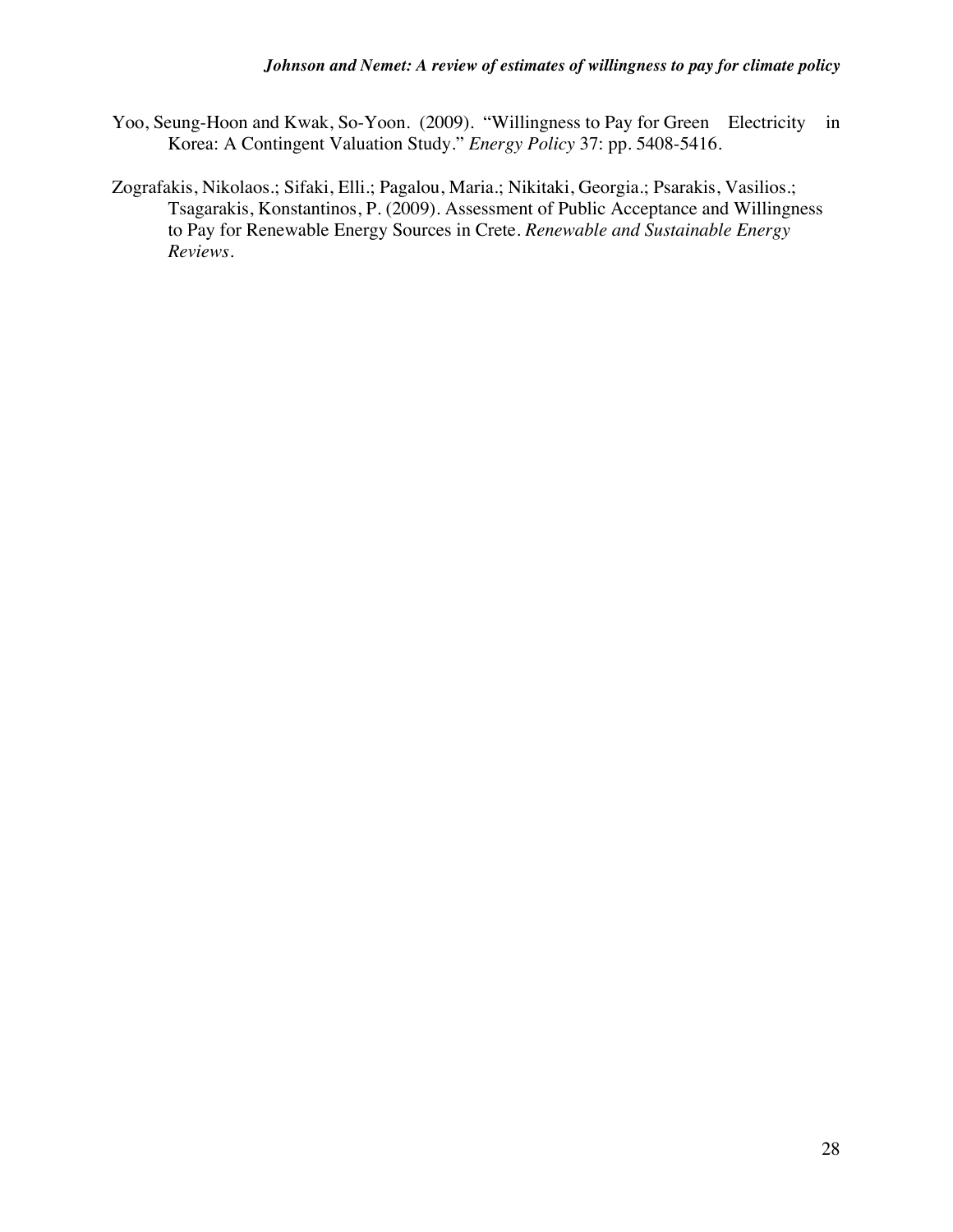- Yoo, Seung-Hoon and Kwak, So-Yoon. (2009). "Willingness to Pay for Green Electricity in Korea: A Contingent Valuation Study." *Energy Policy* 37: pp. 5408-5416.
- Zografakis, Nikolaos.; Sifaki, Elli.; Pagalou, Maria.; Nikitaki, Georgia.; Psarakis, Vasilios.; Tsagarakis, Konstantinos, P. (2009). Assessment of Public Acceptance and Willingness to Pay for Renewable Energy Sources in Crete. *Renewable and Sustainable Energy Reviews.*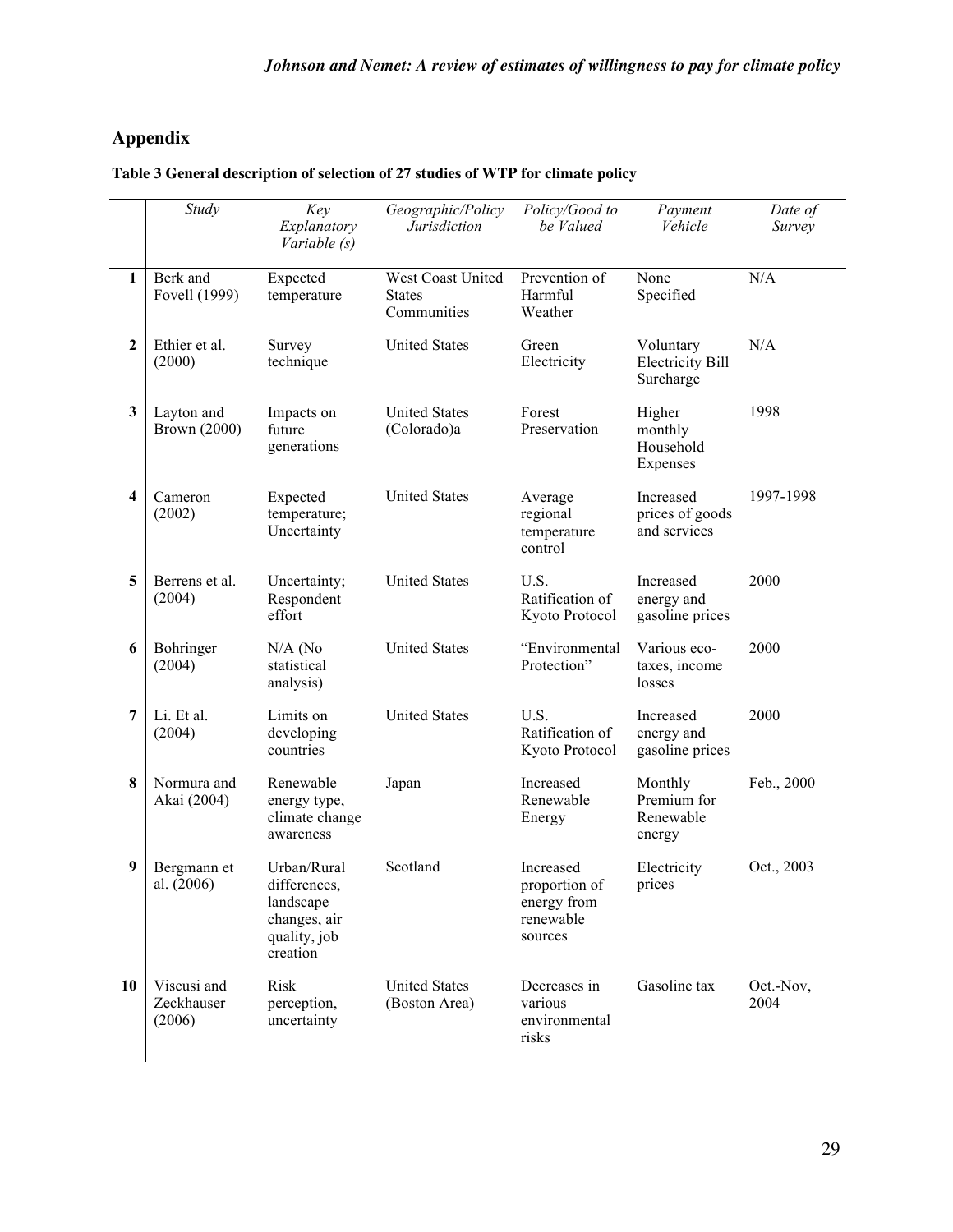# **Appendix**

| Table 3 General description of selection of 27 studies of WTP for climate policy |  |
|----------------------------------------------------------------------------------|--|
|----------------------------------------------------------------------------------|--|

|                | Study                                                                                                             | Key<br>Explanatory<br>Variable (s)    | Geographic/Policy<br>Jurisdiction                 | Policy/Good to<br>be Valued                                       | Payment<br>Vehicle                                | Date of<br>Survey |
|----------------|-------------------------------------------------------------------------------------------------------------------|---------------------------------------|---------------------------------------------------|-------------------------------------------------------------------|---------------------------------------------------|-------------------|
| $\mathbf{1}$   | Berk and<br>Fovell (1999)                                                                                         | Expected<br>temperature               | West Coast United<br><b>States</b><br>Communities | Prevention of<br>Harmful<br>Weather                               | None<br>Specified                                 | N/A               |
| $\overline{2}$ | Ethier et al.<br>(2000)                                                                                           | Survey<br>technique                   | <b>United States</b>                              | Green<br>Electricity                                              | Voluntary<br><b>Electricity Bill</b><br>Surcharge | N/A               |
| 3              | Layton and<br><b>Brown (2000)</b>                                                                                 | Impacts on<br>future<br>generations   | <b>United States</b><br>(Colorado)a               | Forest<br>Preservation                                            | Higher<br>monthly<br>Household<br>Expenses        | 1998              |
| 4              | Cameron<br>Expected<br>(2002)<br>temperature;<br>Uncertainty                                                      |                                       | <b>United States</b>                              | Average<br>regional<br>temperature<br>control                     | Increased<br>prices of goods<br>and services      | 1997-1998         |
| 5              | Berrens et al.<br>(2004)                                                                                          | Uncertainty;<br>Respondent<br>effort  | <b>United States</b>                              | U.S.<br>Ratification of<br>Kyoto Protocol                         |                                                   | 2000              |
| 6              | Bohringer<br>(2004)                                                                                               | $N/A$ (No<br>statistical<br>analysis) | <b>United States</b>                              | "Environmental<br>Protection"                                     | Various eco-<br>taxes, income<br>losses           | 2000              |
| 7              | Li. Et al.<br>(2004)                                                                                              | Limits on<br>developing<br>countries  | <b>United States</b>                              | U.S.<br>Ratification of<br>Kyoto Protocol                         | Increased<br>energy and<br>gasoline prices        | 2000              |
| $\bf{8}$       | Normura and<br>Renewable<br>Akai (2004)<br>energy type,<br>climate change<br>awareness                            |                                       | Japan                                             | Increased<br>Renewable<br>Energy                                  | Monthly<br>Premium for<br>Renewable<br>energy     | Feb., 2000        |
| 9              | Urban/Rural<br>Bergmann et<br>differences.<br>al. (2006)<br>landscape<br>changes, air<br>quality, job<br>creation |                                       | Scotland                                          | Increased<br>proportion of<br>energy from<br>renewable<br>sources | Electricity<br>prices                             | Oct., 2003        |
| 10             | Viscusi and<br>Zeckhauser<br>(2006)                                                                               | Risk<br>perception,<br>uncertainty    | <b>United States</b><br>(Boston Area)             | Decreases in<br>various<br>environmental<br>risks                 | Gasoline tax                                      | Oct.-Nov,<br>2004 |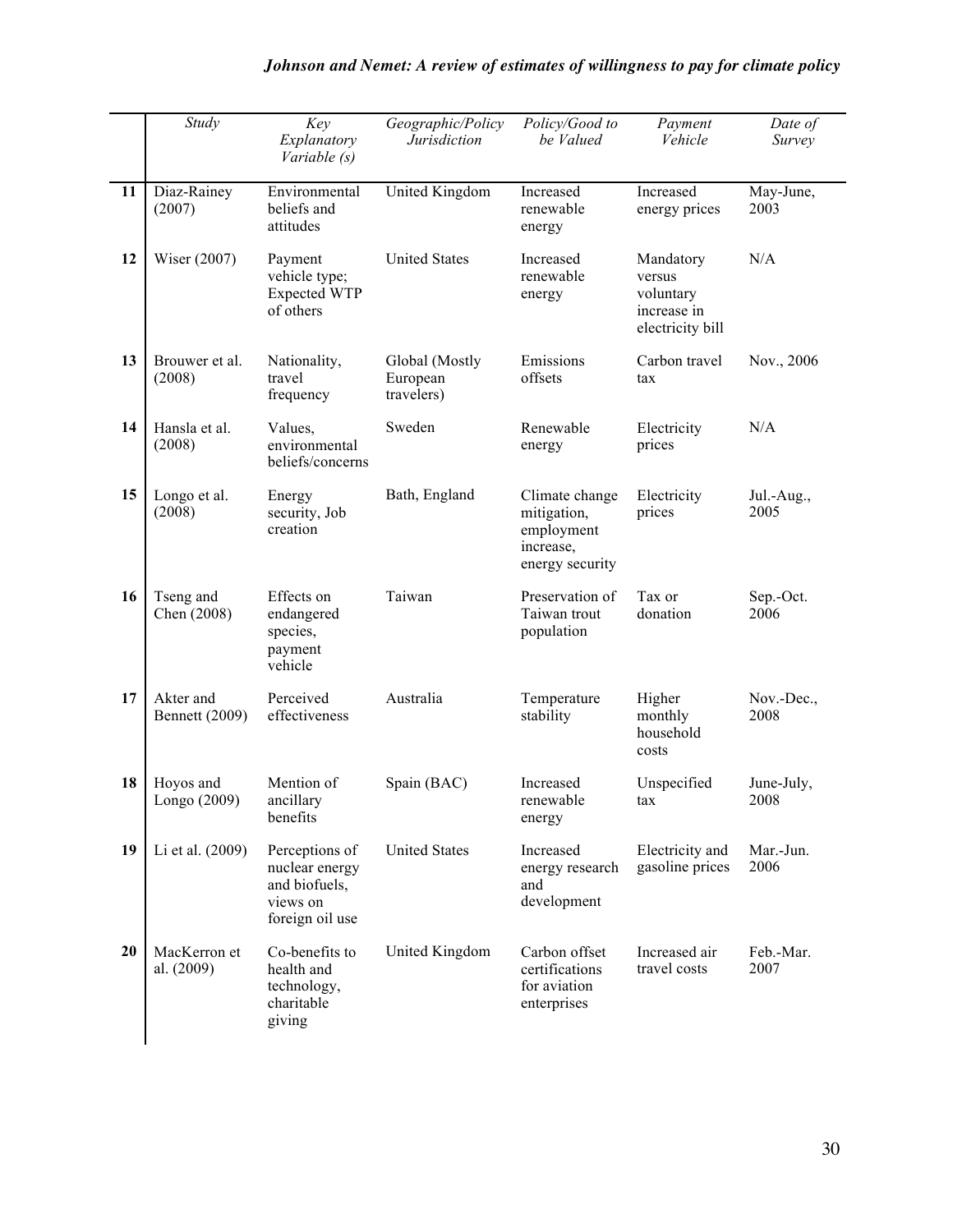|    | Study                       | Key<br>Explanatory<br>Variable (s)                                               | Geographic/Policy<br><i>Jurisdiction</i> | Policy/Good to<br>be Valued                                                 | Payment<br>Vehicle                                                  | Date of<br>Survey  |
|----|-----------------------------|----------------------------------------------------------------------------------|------------------------------------------|-----------------------------------------------------------------------------|---------------------------------------------------------------------|--------------------|
| 11 | Diaz-Rainey<br>(2007)       | Environmental<br>beliefs and<br>attitudes                                        | United Kingdom                           | Increased<br>renewable<br>energy                                            | Increased<br>energy prices                                          | May-June,<br>2003  |
| 12 | Wiser (2007)                | Payment<br>vehicle type;<br><b>Expected WTP</b><br>of others                     | <b>United States</b>                     | Increased<br>renewable<br>energy                                            | Mandatory<br>versus<br>voluntary<br>increase in<br>electricity bill | N/A                |
| 13 | Brouwer et al.<br>(2008)    | Nationality,<br>Global (Mostly<br>travel<br>European<br>frequency<br>travelers)  |                                          | Emissions<br>Carbon travel<br>offsets<br>tax                                |                                                                     | Nov., 2006         |
| 14 | Hansla et al.<br>(2008)     | Values,<br>environmental<br>beliefs/concerns                                     | Sweden                                   | Renewable<br>energy                                                         | Electricity<br>prices                                               | N/A                |
| 15 | Longo et al.<br>(2008)      | Energy<br>security, Job<br>creation                                              | Bath, England                            | Climate change<br>mitigation,<br>employment<br>increase,<br>energy security | Electricity<br>prices                                               | Jul.-Aug.,<br>2005 |
| 16 | Tseng and<br>Chen (2008)    | Effects on<br>endangered<br>species,<br>payment<br>vehicle                       | Taiwan                                   | Preservation of<br>Taiwan trout<br>population                               | Tax or<br>donation                                                  | Sep.-Oct.<br>2006  |
| 17 | Akter and<br>Bennett (2009) | Perceived<br>effectiveness                                                       | Australia<br>Temperature<br>stability    |                                                                             | Higher<br>monthly<br>household<br>costs                             | Nov.-Dec.,<br>2008 |
| 18 | Hoyos and<br>Longo (2009)   | Mention of<br>ancillary<br>benefits                                              | Spain (BAC)                              | Increased<br>renewable<br>energy                                            | Unspecified<br>tax                                                  | June-July,<br>2008 |
| 19 | Li et al. (2009)            | Perceptions of<br>nuclear energy<br>and biofuels,<br>views on<br>foreign oil use |                                          | Increased<br>energy research<br>and<br>development                          | Electricity and<br>gasoline prices                                  | Mar.-Jun.<br>2006  |
| 20 | MacKerron et<br>al. (2009)  | Co-benefits to<br>health and<br>technology,<br>charitable<br>giving              | United Kingdom                           | Carbon offset<br>certifications<br>for aviation<br>enterprises              | Increased air<br>travel costs                                       | Feb.-Mar.<br>2007  |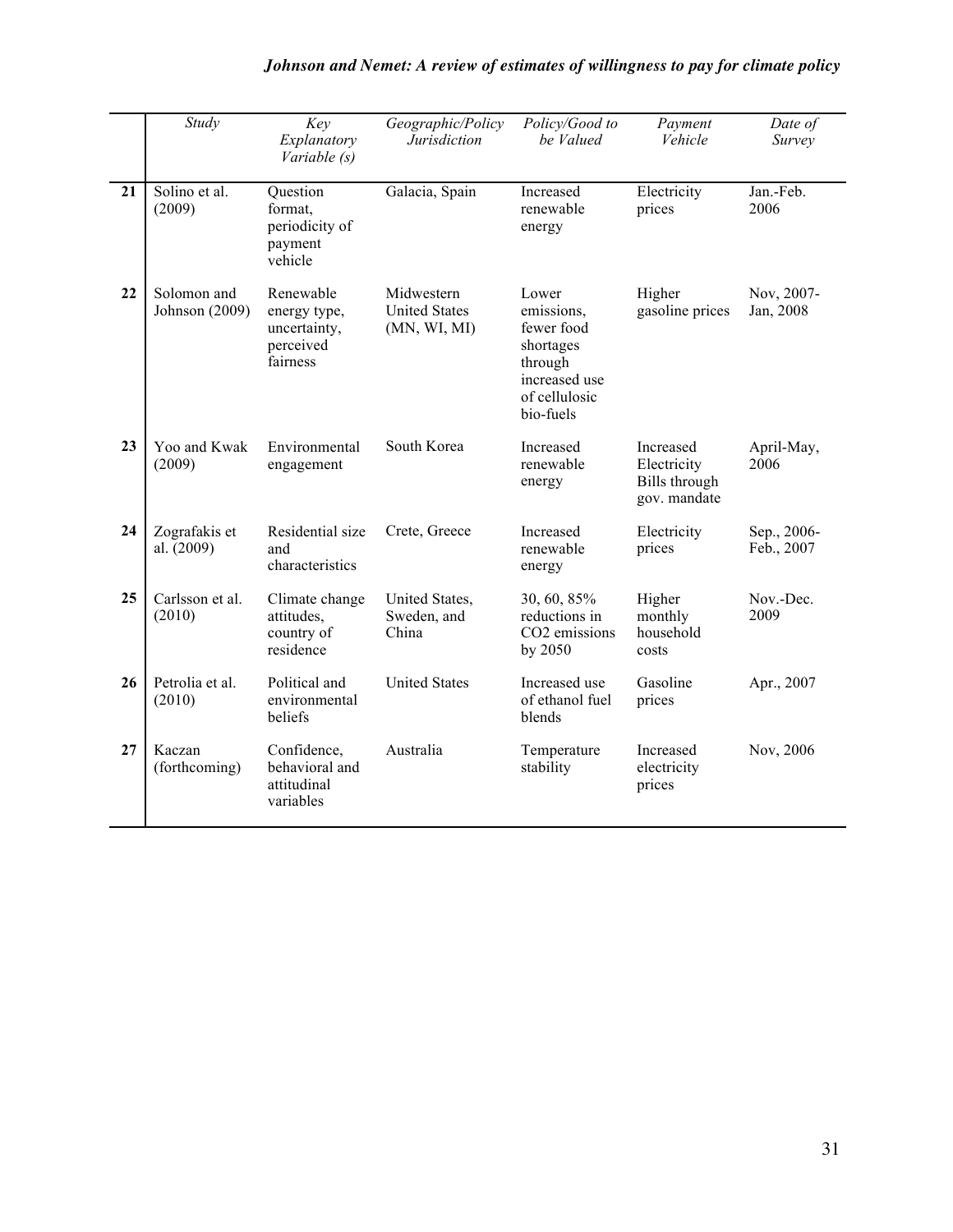|                 | Study                         | Key<br>Explanatory<br>Variable (s)                                 | Geographic/Policy<br><b>Jurisdiction</b>                                                                                                                       | Policy/Good to<br>be Valued                              | Payment<br>Vehicle                                               | Date of<br>Survey         |
|-----------------|-------------------------------|--------------------------------------------------------------------|----------------------------------------------------------------------------------------------------------------------------------------------------------------|----------------------------------------------------------|------------------------------------------------------------------|---------------------------|
| $\overline{21}$ | Solino et al.<br>(2009)       | Question<br>format,<br>periodicity of<br>payment<br>vehicle        | Galacia, Spain                                                                                                                                                 | Increased<br>renewable<br>energy                         | Electricity<br>prices                                            | Jan.-Feb.<br>2006         |
| 22              | Solomon and<br>Johnson (2009) | Renewable<br>energy type,<br>uncertainty,<br>perceived<br>fairness | Midwestern<br>Lower<br><b>United States</b><br>emissions,<br>(MN, WI, MI)<br>fewer food<br>shortages<br>through<br>increased use<br>of cellulosic<br>bio-fuels |                                                          | Higher<br>gasoline prices                                        | Nov, 2007-<br>Jan, 2008   |
| 23              | Yoo and Kwak<br>(2009)        | Environmental<br>engagement                                        | South Korea                                                                                                                                                    | Increased<br>renewable<br>energy                         | Increased<br>Electricity<br><b>Bills</b> through<br>gov. mandate | April-May,<br>2006        |
| 24              | Zografakis et<br>al. (2009)   | Residential size<br>and<br>characteristics                         | Crete, Greece                                                                                                                                                  | Increased<br>renewable<br>energy                         | Electricity<br>prices                                            | Sep., 2006-<br>Feb., 2007 |
| 25              | Carlsson et al.<br>(2010)     | Climate change<br>attitudes,<br>country of<br>residence            | United States,<br>Sweden, and<br>China                                                                                                                         | 30, 60, 85%<br>reductions in<br>CO2 emissions<br>by 2050 | Higher<br>monthly<br>household<br>costs                          | Nov.-Dec.<br>2009         |
| 26              | Petrolia et al.<br>(2010)     | Political and<br>environmental<br>beliefs                          | <b>United States</b>                                                                                                                                           | Increased use<br>of ethanol fuel<br>blends               | Gasoline<br>prices                                               | Apr., 2007                |
| 27              | Kaczan<br>(forthcoming)       | Confidence,<br>behavioral and<br>attitudinal<br>variables          | Australia                                                                                                                                                      | Temperature<br>stability                                 | Increased<br>electricity<br>prices                               | Nov, 2006                 |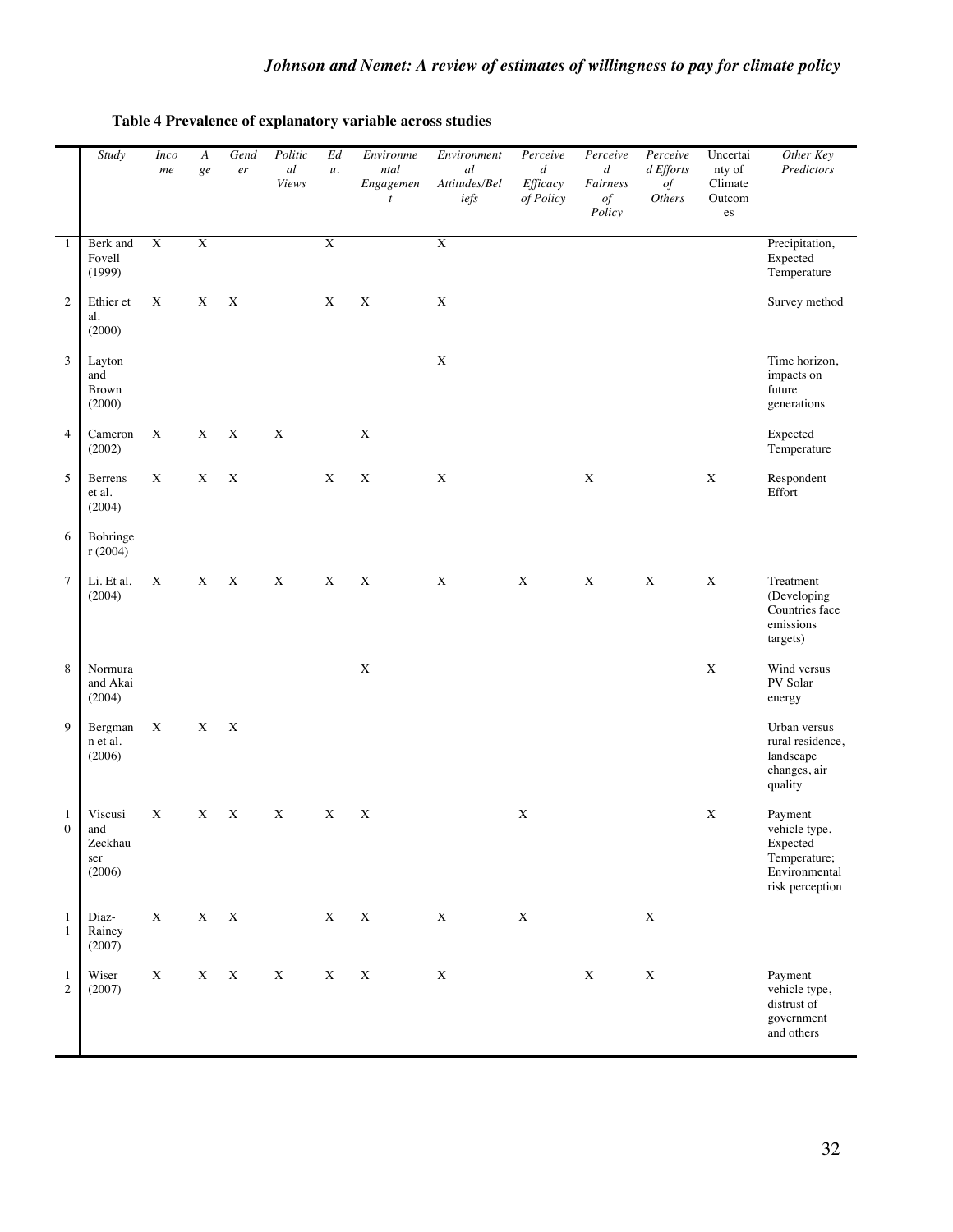|                              | Study                                      | <b>Inco</b><br>$\boldsymbol{me}$ | A<br>ge     | Gend<br>$\emph{er}$ | Politic<br>al<br>Views | $\operatorname{Ed}$<br>и. | Environme<br>ntal<br>Engagemen<br>$\boldsymbol{t}$ | Environment<br>al<br>Attitudes/Bel<br>iefs | Perceive<br>$\boldsymbol{d}$<br>Efficacy<br>of Policy | Perceive<br>$\boldsymbol{d}$<br>Fairness<br>$of$<br>Policy | Perceive<br>d Efforts<br>$of$<br><i>Others</i> | Uncertai<br>nty of<br>Climate<br>Outcom<br>es | Other Key<br>Predictors                                                                  |
|------------------------------|--------------------------------------------|----------------------------------|-------------|---------------------|------------------------|---------------------------|----------------------------------------------------|--------------------------------------------|-------------------------------------------------------|------------------------------------------------------------|------------------------------------------------|-----------------------------------------------|------------------------------------------------------------------------------------------|
| $\mathbf{1}$                 | Berk and<br>Fovell<br>(1999)               | $\mathbf X$                      | $\mathbf X$ |                     |                        | $\mathbf X$               |                                                    | $\mathbf X$                                |                                                       |                                                            |                                                |                                               | Precipitation,<br>Expected<br>Temperature                                                |
| $\mathfrak{2}$               | Ethier et<br>al.<br>(2000)                 | $\mathbf X$                      | X           | $\mathbf X$         |                        | X                         | $\mathbf X$                                        | $\mathbf X$                                |                                                       |                                                            |                                                |                                               | Survey method                                                                            |
| 3                            | Layton<br>and<br><b>Brown</b><br>(2000)    |                                  |             |                     |                        |                           |                                                    | $\mathbf X$                                |                                                       |                                                            |                                                |                                               | Time horizon,<br>impacts on<br>future<br>generations                                     |
| $\overline{4}$               | Cameron<br>(2002)                          | $\mathbf X$                      | $\mathbf X$ | $\mathbf X$         | $\mathbf X$            |                           | X                                                  |                                            |                                                       |                                                            |                                                |                                               | Expected<br>Temperature                                                                  |
| 5                            | Berrens<br>et al.<br>(2004)                | $\mathbf X$                      | $\mathbf X$ | $\mathbf X$         |                        | $\mathbf X$               | $\mathbf X$                                        | $\mathbf X$                                |                                                       | $\mathbf X$                                                |                                                | $\mathbf X$                                   | Respondent<br>Effort                                                                     |
| 6                            | Bohringe<br>r(2004)                        |                                  |             |                     |                        |                           |                                                    |                                            |                                                       |                                                            |                                                |                                               |                                                                                          |
| $\tau$                       | Li. Et al.<br>(2004)                       | X                                | $\mathbf X$ | $\mathbf X$         | $\mathbf X$            | $\mathbf X$               | $\mathbf X$                                        | $\mathbf X$                                | $\mathbf X$                                           | $\mathbf X$                                                | $\mathbf X$                                    | $\mathbf X$                                   | Treatment<br>(Developing<br>Countries face<br>emissions<br>targets)                      |
| 8                            | Normura<br>and Akai<br>(2004)              |                                  |             |                     |                        |                           | $\mathbf X$                                        |                                            |                                                       |                                                            |                                                | $\mathbf X$                                   | Wind versus<br>PV Solar<br>energy                                                        |
| 9                            | Bergman<br>n et al.<br>(2006)              | $\mathbf X$                      | X           | X                   |                        |                           |                                                    |                                            |                                                       |                                                            |                                                |                                               | Urban versus<br>rural residence,<br>landscape<br>changes, air<br>quality                 |
| 1<br>$\boldsymbol{0}$        | Viscusi<br>and<br>Zeckhau<br>ser<br>(2006) | $\mathbf X$                      | $\mathbf X$ | $\mathbf X$         | $\mathbf X$            | $\mathbf X$               | $\mathbf X$                                        |                                            | $\mathbf X$                                           |                                                            |                                                | $\mathbf X$                                   | Payment<br>vehicle type,<br>Expected<br>Temperature;<br>Environmental<br>risk perception |
| $\mathbf{1}$<br>$\mathbf{1}$ | Diaz-<br>Rainey<br>(2007)                  | $\mathbf X$                      | $\mathbf X$ | $\mathbf X$         |                        | $\mathbf X$               | $\mathbf X$                                        | $\mathbf X$                                | $\mathbf X$                                           |                                                            | $\mathbf X$                                    |                                               |                                                                                          |
| $\mathbf{1}$<br>$\sqrt{2}$   | Wiser<br>(2007)                            | $\mathbf X$                      | $\mathbf X$ | $\mathbf X$         | $\mathbf X$            | $\mathbf X$               | $\mathbf X$                                        | X                                          |                                                       | $\mathbf X$                                                | $\mathbf X$                                    |                                               | Payment<br>vehicle type,<br>distrust of<br>government<br>and others                      |

### **Table 4 Prevalence of explanatory variable across studies**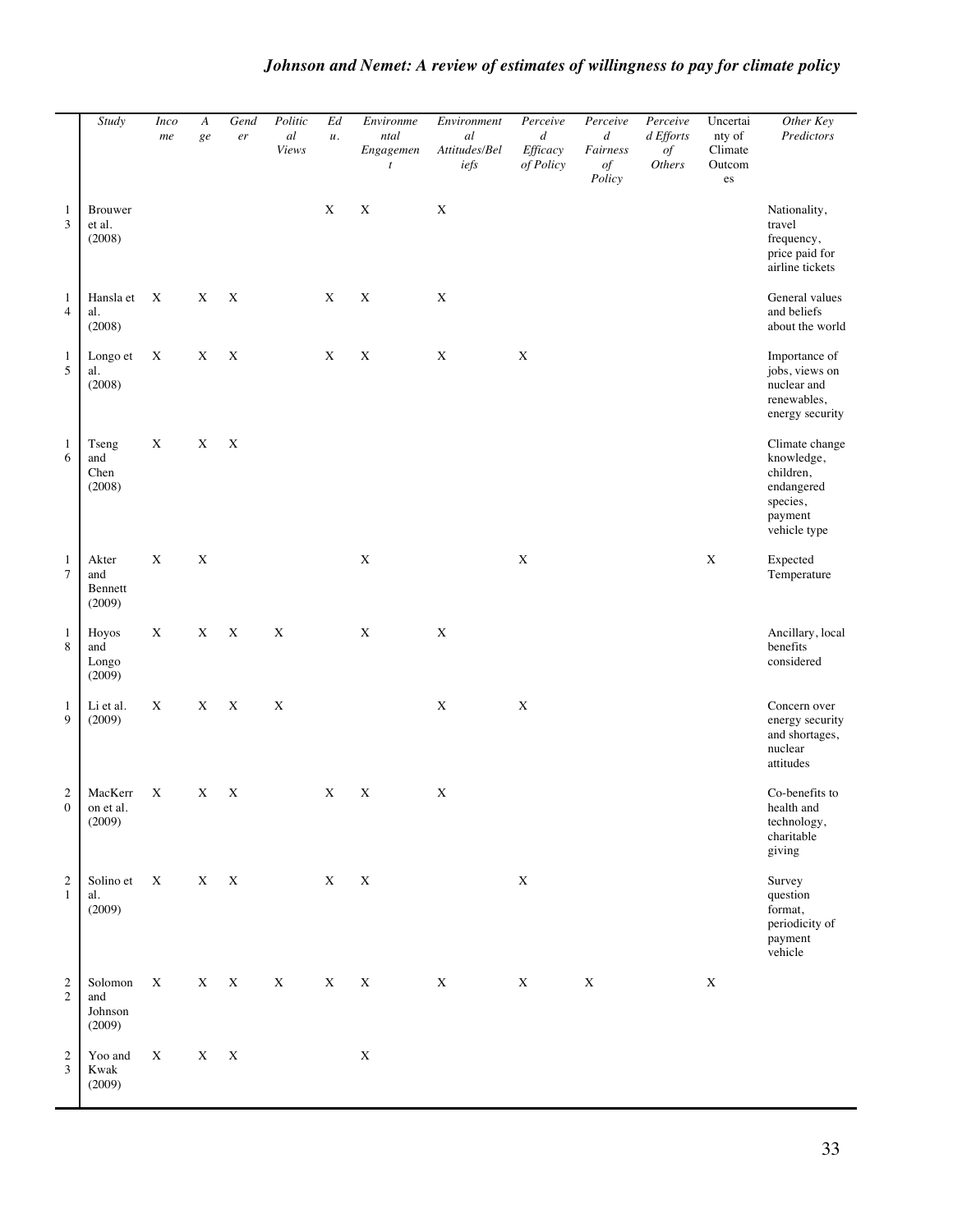#### *Study Inco me A ge Gend er Politic al Views Ed u. Environme ntal Engagemen t Environment al Attitudes/Bel iefs Perceive d Efficacy of Policy Perceive d Fairness of Policy Perceive d Efforts of Others* Uncertai nty of Climate Outcom es *Other Key Predictors* 1 3 Brouwer et al. (2008) X X X Nationality, travel frequency, price paid for airline tickets 1 4 Hansla et al. (2008) X X X X X X General values and beliefs about the world 1 5 Longo et al. (2008) X X X X X X X Importance of jobs, views on nuclear and renewables, energy security 1 6 Tseng and Chen (2008) X X X Climate change knowledge, children, endangered species, payment vehicle type 1 7 Akter and Bennett (2009)  $X$  X  $X$  Expected Temperature 1 8 Hoyos and Longo (2009) X X X X X X X Ancillary, local benefits considered 1 9 Li et al. (2009) X X X Concern over energy security and shortages, nuclear attitudes 2 0 MacKerr on et al. (2009) X X X X X X Co-benefits to health and technology, charitable giving 2 1 Solino et al. (2009)  $X$  X X  $X$  X X X Survey question format, periodicity of payment vehicle 2 2 Solomon and Johnson (2009)  $X$  X X X X X X X X X X X 2 3 Yoo and Kwak (2009)  $X$   $X$   $X$   $X$

#### *Johnson and Nemet: A review of estimates of willingness to pay for climate policy*